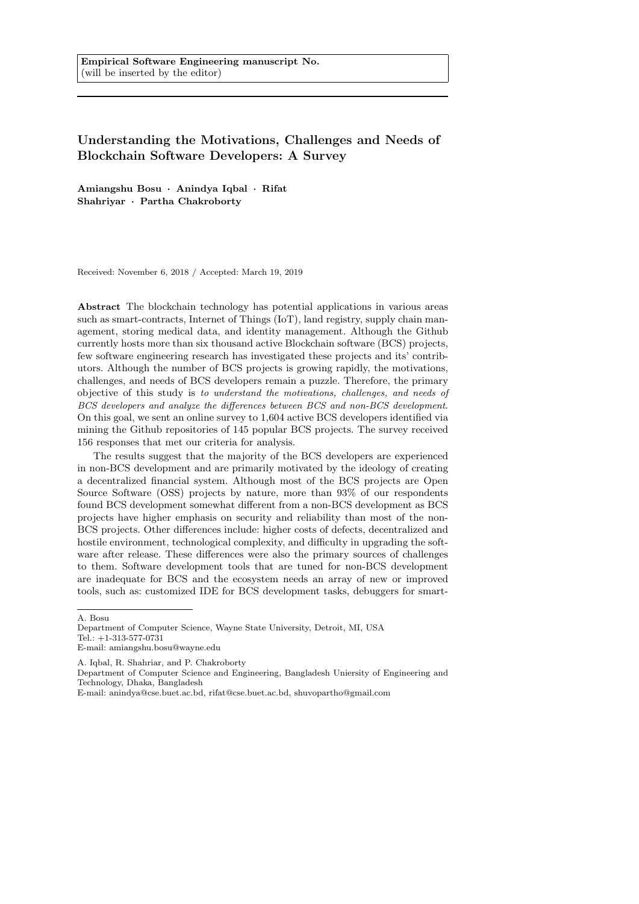# Understanding the Motivations, Challenges and Needs of Blockchain Software Developers: A Survey

Amiangshu Bosu · Anindya Iqbal · Rifat Shahriyar · Partha Chakroborty

Received: November 6, 2018 / Accepted: March 19, 2019

Abstract The blockchain technology has potential applications in various areas such as smart-contracts, Internet of Things (IoT), land registry, supply chain management, storing medical data, and identity management. Although the Github currently hosts more than six thousand active Blockchain software (BCS) projects, few software engineering research has investigated these projects and its' contributors. Although the number of BCS projects is growing rapidly, the motivations, challenges, and needs of BCS developers remain a puzzle. Therefore, the primary objective of this study is to understand the motivations, challenges, and needs of BCS developers and analyze the differences between BCS and non-BCS development. On this goal, we sent an online survey to 1,604 active BCS developers identified via mining the Github repositories of 145 popular BCS projects. The survey received 156 responses that met our criteria for analysis.

The results suggest that the majority of the BCS developers are experienced in non-BCS development and are primarily motivated by the ideology of creating a decentralized financial system. Although most of the BCS projects are Open Source Software (OSS) projects by nature, more than 93% of our respondents found BCS development somewhat different from a non-BCS development as BCS projects have higher emphasis on security and reliability than most of the non-BCS projects. Other differences include: higher costs of defects, decentralized and hostile environment, technological complexity, and difficulty in upgrading the software after release. These differences were also the primary sources of challenges to them. Software development tools that are tuned for non-BCS development are inadequate for BCS and the ecosystem needs an array of new or improved tools, such as: customized IDE for BCS development tasks, debuggers for smart-

A. Bosu

Department of Computer Science, Wayne State University, Detroit, MI, USA Tel.: +1-313-577-0731 E-mail: amiangshu.bosu@wayne.edu

A. Iqbal, R. Shahriar, and P. Chakroborty

Department of Computer Science and Engineering, Bangladesh Uniersity of Engineering and Technology, Dhaka, Bangladesh

E-mail: anindya@cse.buet.ac.bd, rifat@cse.buet.ac.bd, shuvopartho@gmail.com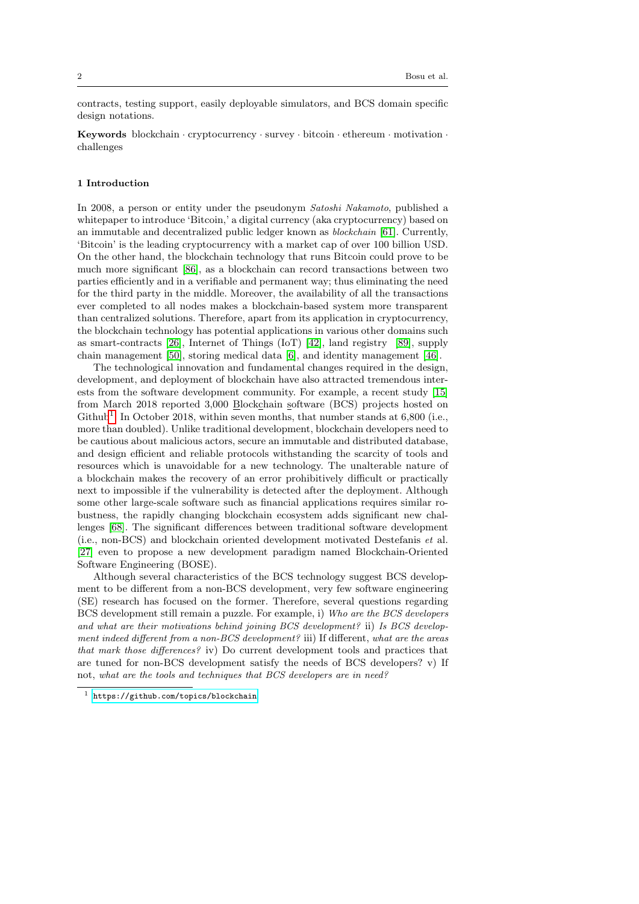contracts, testing support, easily deployable simulators, and BCS domain specific design notations.

Keywords blockchain · cryptocurrency · survey · bitcoin · ethereum · motivation · challenges

# 1 Introduction

In 2008, a person or entity under the pseudonym Satoshi Nakamoto, published a whitepaper to introduce 'Bitcoin,' a digital currency (aka cryptocurrency) based on an immutable and decentralized public ledger known as blockchain [\[61\]](#page-32-0). Currently, 'Bitcoin' is the leading cryptocurrency with a market cap of over 100 billion USD. On the other hand, the blockchain technology that runs Bitcoin could prove to be much more significant [\[86\]](#page-33-0), as a blockchain can record transactions between two parties efficiently and in a verifiable and permanent way; thus eliminating the need for the third party in the middle. Moreover, the availability of all the transactions ever completed to all nodes makes a blockchain-based system more transparent than centralized solutions. Therefore, apart from its application in cryptocurrency, the blockchain technology has potential applications in various other domains such as smart-contracts [\[26\]](#page-31-0), Internet of Things (IoT) [\[42\]](#page-31-1), land registry [\[89\]](#page-33-1), supply chain management [\[50\]](#page-32-1), storing medical data [\[6\]](#page-30-0), and identity management [\[46\]](#page-31-2).

The technological innovation and fundamental changes required in the design, development, and deployment of blockchain have also attracted tremendous interests from the software development community. For example, a recent study [\[15\]](#page-30-1) from March 2018 reported 3,000 Blockchain software (BCS) projects hosted on Github<sup>[1](#page-1-0)</sup>. In October 2018, within seven months, that number stands at  $6,800$  (i.e., more than doubled). Unlike traditional development, blockchain developers need to be cautious about malicious actors, secure an immutable and distributed database, and design efficient and reliable protocols withstanding the scarcity of tools and resources which is unavoidable for a new technology. The unalterable nature of a blockchain makes the recovery of an error prohibitively difficult or practically next to impossible if the vulnerability is detected after the deployment. Although some other large-scale software such as financial applications requires similar robustness, the rapidly changing blockchain ecosystem adds significant new challenges [\[68\]](#page-32-2). The significant differences between traditional software development (i.e., non-BCS) and blockchain oriented development motivated Destefanis et al. [\[27\]](#page-31-3) even to propose a new development paradigm named Blockchain-Oriented Software Engineering (BOSE).

Although several characteristics of the BCS technology suggest BCS development to be different from a non-BCS development, very few software engineering (SE) research has focused on the former. Therefore, several questions regarding BCS development still remain a puzzle. For example, i) Who are the BCS developers and what are their motivations behind joining BCS development? ii) Is BCS development indeed different from a non-BCS development? iii) If different, what are the areas that mark those differences? iv) Do current development tools and practices that are tuned for non-BCS development satisfy the needs of BCS developers? v) If not, what are the tools and techniques that BCS developers are in need?

<span id="page-1-0"></span><sup>1</sup> <https://github.com/topics/blockchain>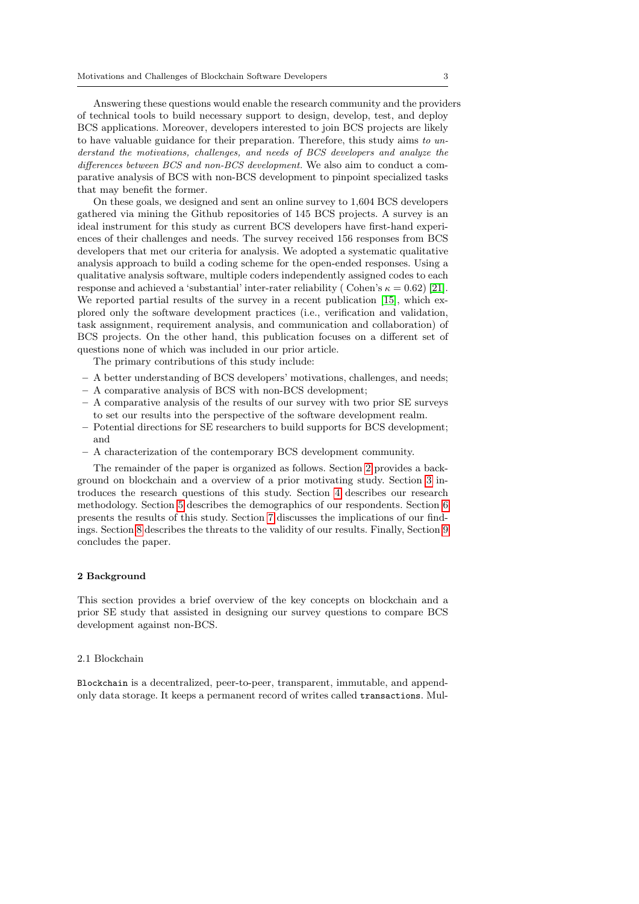Answering these questions would enable the research community and the providers of technical tools to build necessary support to design, develop, test, and deploy BCS applications. Moreover, developers interested to join BCS projects are likely to have valuable guidance for their preparation. Therefore, this study aims to understand the motivations, challenges, and needs of BCS developers and analyze the differences between BCS and non-BCS development. We also aim to conduct a comparative analysis of BCS with non-BCS development to pinpoint specialized tasks that may benefit the former.

On these goals, we designed and sent an online survey to 1,604 BCS developers gathered via mining the Github repositories of 145 BCS projects. A survey is an ideal instrument for this study as current BCS developers have first-hand experiences of their challenges and needs. The survey received 156 responses from BCS developers that met our criteria for analysis. We adopted a systematic qualitative analysis approach to build a coding scheme for the open-ended responses. Using a qualitative analysis software, multiple coders independently assigned codes to each response and achieved a 'substantial' inter-rater reliability ( Cohen's  $\kappa = 0.62$ ) [\[21\]](#page-30-2). We reported partial results of the survey in a recent publication [\[15\]](#page-30-1), which explored only the software development practices (i.e., verification and validation, task assignment, requirement analysis, and communication and collaboration) of BCS projects. On the other hand, this publication focuses on a different set of questions none of which was included in our prior article.

The primary contributions of this study include:

- A better understanding of BCS developers' motivations, challenges, and needs;
- A comparative analysis of BCS with non-BCS development;
- A comparative analysis of the results of our survey with two prior SE surveys to set our results into the perspective of the software development realm.
- Potential directions for SE researchers to build supports for BCS development; and
- A characterization of the contemporary BCS development community.

The remainder of the paper is organized as follows. Section [2](#page-2-0) provides a background on blockchain and a overview of a prior motivating study. Section [3](#page-4-0) introduces the research questions of this study. Section [4](#page-7-0) describes our research methodology. Section [5](#page-10-0) describes the demographics of our respondents. Section [6](#page-12-0) presents the results of this study. Section [7](#page-25-0) discusses the implications of our findings. Section [8](#page-27-0) describes the threats to the validity of our results. Finally, Section [9](#page-29-0) concludes the paper.

# <span id="page-2-0"></span>2 Background

This section provides a brief overview of the key concepts on blockchain and a prior SE study that assisted in designing our survey questions to compare BCS development against non-BCS.

### 2.1 Blockchain

Blockchain is a decentralized, peer-to-peer, transparent, immutable, and appendonly data storage. It keeps a permanent record of writes called transactions. Mul-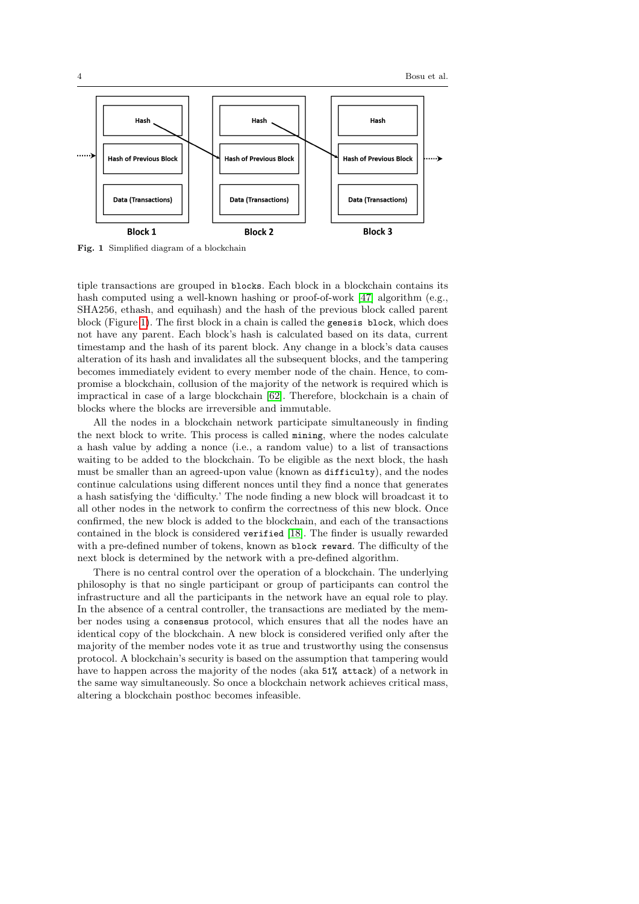

<span id="page-3-0"></span>Fig. 1 Simplified diagram of a blockchain

tiple transactions are grouped in blocks. Each block in a blockchain contains its hash computed using a well-known hashing or proof-of-work [\[47\]](#page-31-4) algorithm (e.g., SHA256, ethash, and equihash) and the hash of the previous block called parent block (Figure [1\)](#page-3-0). The first block in a chain is called the genesis block, which does not have any parent. Each block's hash is calculated based on its data, current timestamp and the hash of its parent block. Any change in a block's data causes alteration of its hash and invalidates all the subsequent blocks, and the tampering becomes immediately evident to every member node of the chain. Hence, to compromise a blockchain, collusion of the majority of the network is required which is impractical in case of a large blockchain [\[62\]](#page-32-3). Therefore, blockchain is a chain of blocks where the blocks are irreversible and immutable.

All the nodes in a blockchain network participate simultaneously in finding the next block to write. This process is called mining, where the nodes calculate a hash value by adding a nonce (i.e., a random value) to a list of transactions waiting to be added to the blockchain. To be eligible as the next block, the hash must be smaller than an agreed-upon value (known as difficulty), and the nodes continue calculations using different nonces until they find a nonce that generates a hash satisfying the 'difficulty.' The node finding a new block will broadcast it to all other nodes in the network to confirm the correctness of this new block. Once confirmed, the new block is added to the blockchain, and each of the transactions contained in the block is considered verified [\[18\]](#page-30-3). The finder is usually rewarded with a pre-defined number of tokens, known as block reward. The difficulty of the next block is determined by the network with a pre-defined algorithm.

There is no central control over the operation of a blockchain. The underlying philosophy is that no single participant or group of participants can control the infrastructure and all the participants in the network have an equal role to play. In the absence of a central controller, the transactions are mediated by the member nodes using a consensus protocol, which ensures that all the nodes have an identical copy of the blockchain. A new block is considered verified only after the majority of the member nodes vote it as true and trustworthy using the consensus protocol. A blockchain's security is based on the assumption that tampering would have to happen across the majority of the nodes (aka 51% attack) of a network in the same way simultaneously. So once a blockchain network achieves critical mass, altering a blockchain posthoc becomes infeasible.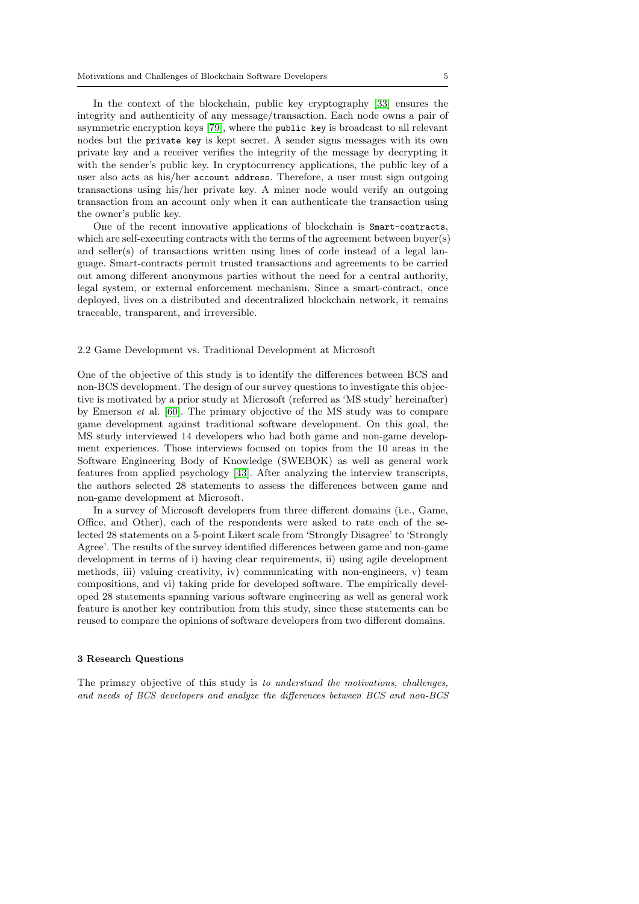In the context of the blockchain, public key cryptography [\[33\]](#page-31-5) ensures the integrity and authenticity of any message/transaction. Each node owns a pair of asymmetric encryption keys [\[79\]](#page-33-2), where the public key is broadcast to all relevant nodes but the private key is kept secret. A sender signs messages with its own private key and a receiver verifies the integrity of the message by decrypting it with the sender's public key. In cryptocurrency applications, the public key of a user also acts as his/her account address. Therefore, a user must sign outgoing transactions using his/her private key. A miner node would verify an outgoing transaction from an account only when it can authenticate the transaction using the owner's public key.

One of the recent innovative applications of blockchain is Smart-contracts, which are self-executing contracts with the terms of the agreement between buyer(s) and seller(s) of transactions written using lines of code instead of a legal language. Smart-contracts permit trusted transactions and agreements to be carried out among different anonymous parties without the need for a central authority, legal system, or external enforcement mechanism. Since a smart-contract, once deployed, lives on a distributed and decentralized blockchain network, it remains traceable, transparent, and irreversible.

### <span id="page-4-1"></span>2.2 Game Development vs. Traditional Development at Microsoft

One of the objective of this study is to identify the differences between BCS and non-BCS development. The design of our survey questions to investigate this objective is motivated by a prior study at Microsoft (referred as 'MS study' hereinafter) by Emerson et al. [\[60\]](#page-32-4). The primary objective of the MS study was to compare game development against traditional software development. On this goal, the MS study interviewed 14 developers who had both game and non-game development experiences. Those interviews focused on topics from the 10 areas in the Software Engineering Body of Knowledge (SWEBOK) as well as general work features from applied psychology [\[43\]](#page-31-6). After analyzing the interview transcripts, the authors selected 28 statements to assess the differences between game and non-game development at Microsoft.

In a survey of Microsoft developers from three different domains (i.e., Game, Office, and Other), each of the respondents were asked to rate each of the selected 28 statements on a 5-point Likert scale from 'Strongly Disagree' to 'Strongly Agree'. The results of the survey identified differences between game and non-game development in terms of i) having clear requirements, ii) using agile development methods, iii) valuing creativity, iv) communicating with non-engineers, v) team compositions, and vi) taking pride for developed software. The empirically developed 28 statements spanning various software engineering as well as general work feature is another key contribution from this study, since these statements can be reused to compare the opinions of software developers from two different domains.

#### <span id="page-4-0"></span>3 Research Questions

The primary objective of this study is to understand the motivations, challenges, and needs of BCS developers and analyze the differences between BCS and non-BCS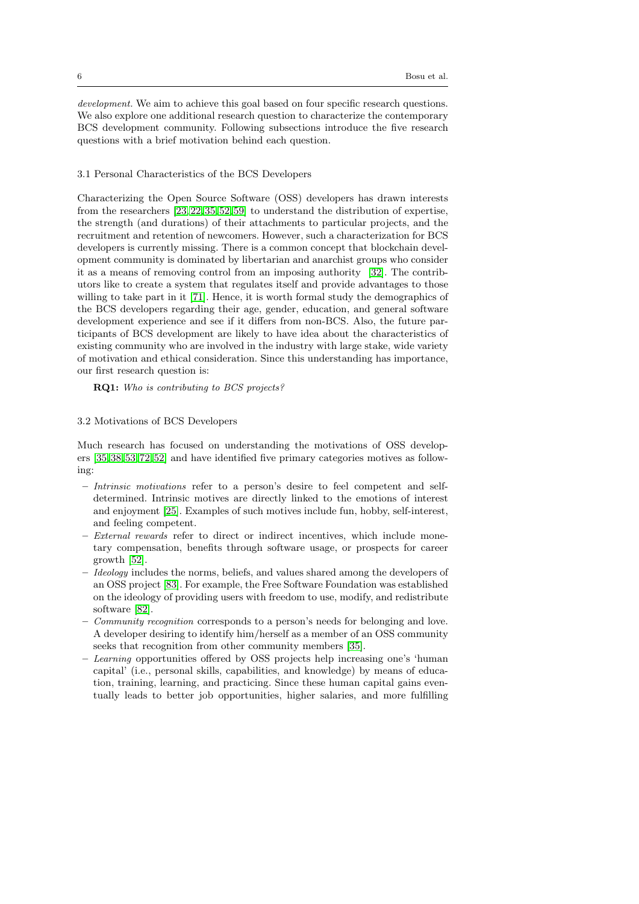development. We aim to achieve this goal based on four specific research questions. We also explore one additional research question to characterize the contemporary BCS development community. Following subsections introduce the five research questions with a brief motivation behind each question.

### 3.1 Personal Characteristics of the BCS Developers

Characterizing the Open Source Software (OSS) developers has drawn interests from the researchers [\[23,](#page-30-4) [22,](#page-30-5) [35,](#page-31-7)[52,](#page-32-5) [59\]](#page-32-6) to understand the distribution of expertise, the strength (and durations) of their attachments to particular projects, and the recruitment and retention of newcomers. However, such a characterization for BCS developers is currently missing. There is a common concept that blockchain development community is dominated by libertarian and anarchist groups who consider it as a means of removing control from an imposing authority [\[32\]](#page-31-8). The contributors like to create a system that regulates itself and provide advantages to those willing to take part in it [\[71\]](#page-33-3). Hence, it is worth formal study the demographics of the BCS developers regarding their age, gender, education, and general software development experience and see if it differs from non-BCS. Also, the future participants of BCS development are likely to have idea about the characteristics of existing community who are involved in the industry with large stake, wide variety of motivation and ethical consideration. Since this understanding has importance, our first research question is:

RQ1: Who is contributing to BCS projects?

# 3.2 Motivations of BCS Developers

Much research has focused on understanding the motivations of OSS developers [\[35,](#page-31-7) [38,](#page-31-9) [53,](#page-32-7) [72,](#page-33-4)[52\]](#page-32-5) and have identified five primary categories motives as following:

- Intrinsic motivations refer to a person's desire to feel competent and selfdetermined. Intrinsic motives are directly linked to the emotions of interest and enjoyment [\[25\]](#page-31-10). Examples of such motives include fun, hobby, self-interest, and feeling competent.
- External rewards refer to direct or indirect incentives, which include monetary compensation, benefits through software usage, or prospects for career growth [\[52\]](#page-32-5).
- Ideology includes the norms, beliefs, and values shared among the developers of an OSS project [\[83\]](#page-33-5). For example, the Free Software Foundation was established on the ideology of providing users with freedom to use, modify, and redistribute software [\[82\]](#page-33-6).
- Community recognition corresponds to a person's needs for belonging and love. A developer desiring to identify him/herself as a member of an OSS community seeks that recognition from other community members [\[35\]](#page-31-7).
- Learning opportunities offered by OSS projects help increasing one's 'human capital' (i.e., personal skills, capabilities, and knowledge) by means of education, training, learning, and practicing. Since these human capital gains eventually leads to better job opportunities, higher salaries, and more fulfilling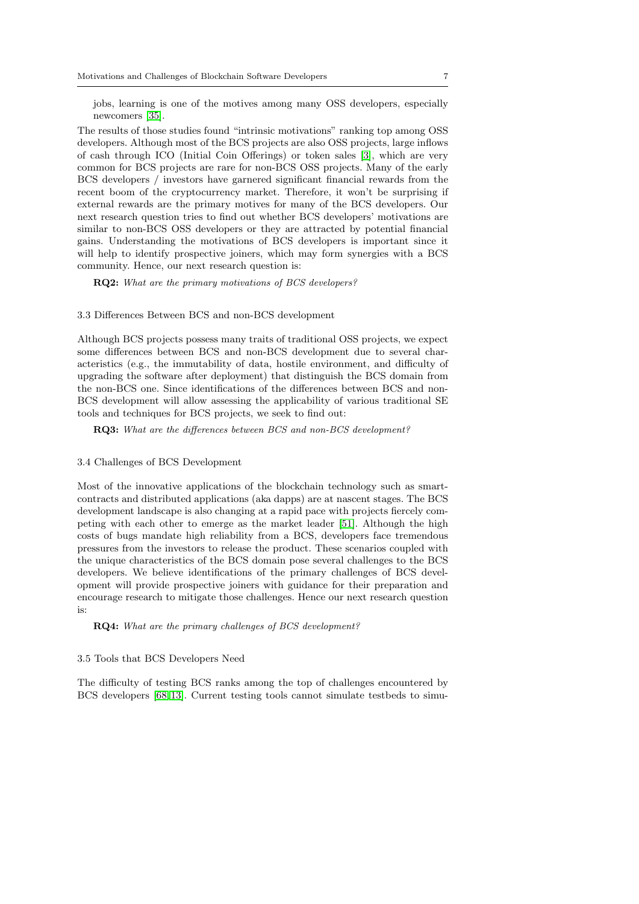jobs, learning is one of the motives among many OSS developers, especially newcomers [\[35\]](#page-31-7).

The results of those studies found "intrinsic motivations" ranking top among OSS developers. Although most of the BCS projects are also OSS projects, large inflows of cash through ICO (Initial Coin Offerings) or token sales [\[3\]](#page-30-6), which are very common for BCS projects are rare for non-BCS OSS projects. Many of the early BCS developers / investors have garnered significant financial rewards from the recent boom of the cryptocurrency market. Therefore, it won't be surprising if external rewards are the primary motives for many of the BCS developers. Our next research question tries to find out whether BCS developers' motivations are similar to non-BCS OSS developers or they are attracted by potential financial gains. Understanding the motivations of BCS developers is important since it will help to identify prospective joiners, which may form synergies with a BCS community. Hence, our next research question is:

RQ2: What are the primary motivations of BCS developers?

3.3 Differences Between BCS and non-BCS development

Although BCS projects possess many traits of traditional OSS projects, we expect some differences between BCS and non-BCS development due to several characteristics (e.g., the immutability of data, hostile environment, and difficulty of upgrading the software after deployment) that distinguish the BCS domain from the non-BCS one. Since identifications of the differences between BCS and non-BCS development will allow assessing the applicability of various traditional SE tools and techniques for BCS projects, we seek to find out:

RQ3: What are the differences between BCS and non-BCS development?

3.4 Challenges of BCS Development

Most of the innovative applications of the blockchain technology such as smartcontracts and distributed applications (aka dapps) are at nascent stages. The BCS development landscape is also changing at a rapid pace with projects fiercely competing with each other to emerge as the market leader [\[51\]](#page-32-8). Although the high costs of bugs mandate high reliability from a BCS, developers face tremendous pressures from the investors to release the product. These scenarios coupled with the unique characteristics of the BCS domain pose several challenges to the BCS developers. We believe identifications of the primary challenges of BCS development will provide prospective joiners with guidance for their preparation and encourage research to mitigate those challenges. Hence our next research question is:

RQ4: What are the primary challenges of BCS development?

#### 3.5 Tools that BCS Developers Need

The difficulty of testing BCS ranks among the top of challenges encountered by BCS developers [\[68,](#page-32-2) [13\]](#page-30-7). Current testing tools cannot simulate testbeds to simu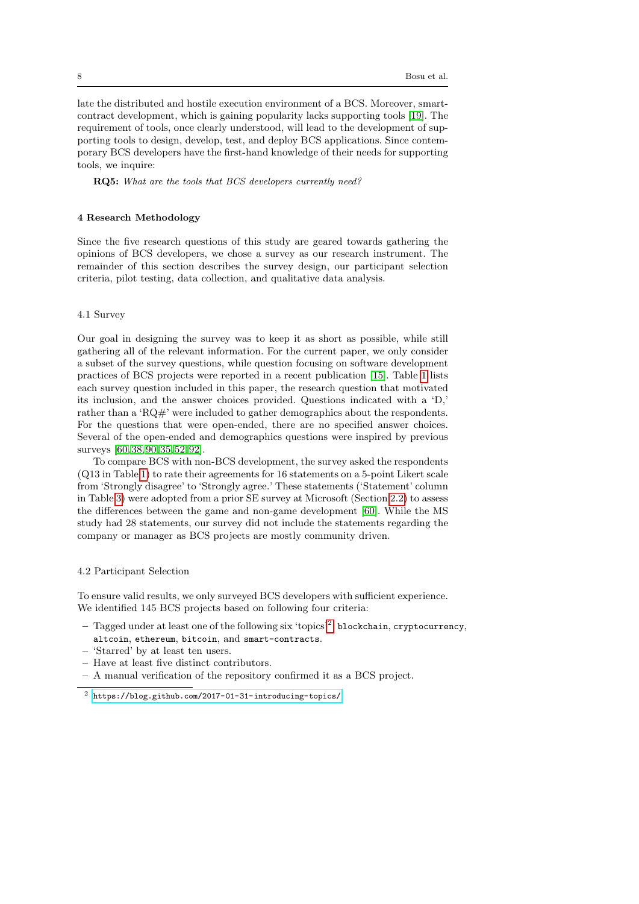late the distributed and hostile execution environment of a BCS. Moreover, smartcontract development, which is gaining popularity lacks supporting tools [\[19\]](#page-30-8). The requirement of tools, once clearly understood, will lead to the development of supporting tools to design, develop, test, and deploy BCS applications. Since contemporary BCS developers have the first-hand knowledge of their needs for supporting tools, we inquire:

RQ5: What are the tools that BCS developers currently need?

# <span id="page-7-0"></span>4 Research Methodology

Since the five research questions of this study are geared towards gathering the opinions of BCS developers, we chose a survey as our research instrument. The remainder of this section describes the survey design, our participant selection criteria, pilot testing, data collection, and qualitative data analysis.

#### 4.1 Survey

Our goal in designing the survey was to keep it as short as possible, while still gathering all of the relevant information. For the current paper, we only consider a subset of the survey questions, while question focusing on software development practices of BCS projects were reported in a recent publication [\[15\]](#page-30-1). Table [1](#page-8-0) lists each survey question included in this paper, the research question that motivated its inclusion, and the answer choices provided. Questions indicated with a 'D,' rather than a 'RQ#' were included to gather demographics about the respondents. For the questions that were open-ended, there are no specified answer choices. Several of the open-ended and demographics questions were inspired by previous surveys [\[60,](#page-32-4) [38,](#page-31-9) [90,](#page-33-7) [35,](#page-31-7) [52,](#page-32-5) [92\]](#page-33-8).

To compare BCS with non-BCS development, the survey asked the respondents (Q13 in Table [1\)](#page-8-0) to rate their agreements for 16 statements on a 5-point Likert scale from 'Strongly disagree' to 'Strongly agree.' These statements ('Statement' column in Table [3\)](#page-18-0) were adopted from a prior SE survey at Microsoft (Section [2.2\)](#page-4-1) to assess the differences between the game and non-game development [\[60\]](#page-32-4). While the MS study had 28 statements, our survey did not include the statements regarding the company or manager as BCS projects are mostly community driven.

# 4.2 Participant Selection

To ensure valid results, we only surveyed BCS developers with sufficient experience. We identified 145 BCS projects based on following four criteria:

- $-$  Tagged under at least one of the following six 'topics'<sup>[2](#page-7-1)</sup>: blockchain, cryptocurrency, altcoin, ethereum, bitcoin, and smart-contracts.
- 'Starred' by at least ten users.
- Have at least five distinct contributors.
- A manual verification of the repository confirmed it as a BCS project.

<span id="page-7-1"></span><sup>2</sup> <https://blog.github.com/2017-01-31-introducing-topics/>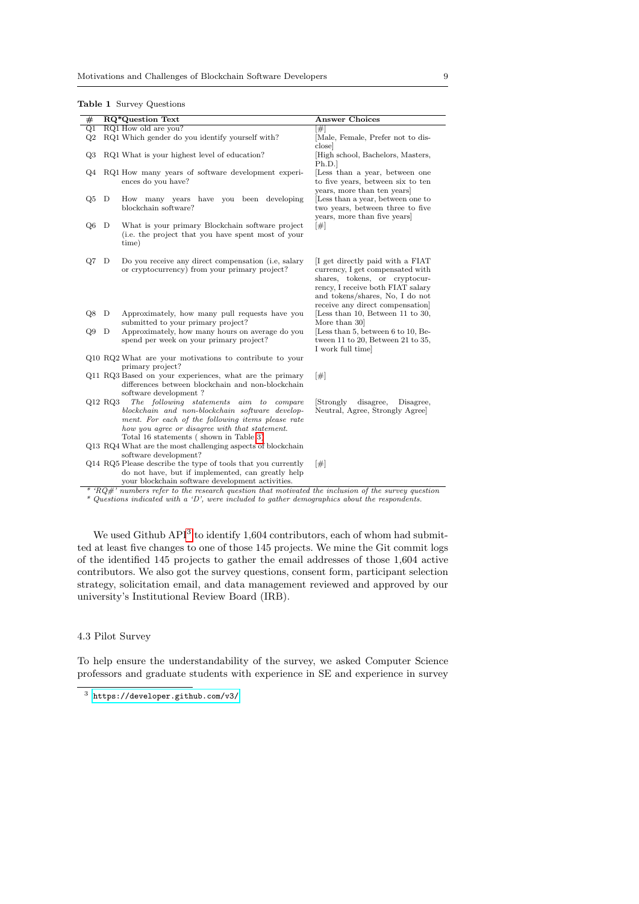<span id="page-8-0"></span>Table 1 Survey Questions

| $_{\#}$ |           | <b>RQ*Question Text</b>                                                                                                                                                                                                                                                                                                             | <b>Answer Choices</b>                                                                                                                                                                                            |
|---------|-----------|-------------------------------------------------------------------------------------------------------------------------------------------------------------------------------------------------------------------------------------------------------------------------------------------------------------------------------------|------------------------------------------------------------------------------------------------------------------------------------------------------------------------------------------------------------------|
| Q1      |           | RQ1 How old are you?                                                                                                                                                                                                                                                                                                                | [#]                                                                                                                                                                                                              |
| Q2      |           | RQ1 Which gender do you identify yourself with?                                                                                                                                                                                                                                                                                     | [Male, Female, Prefer not to dis-<br>close                                                                                                                                                                       |
| Q3      |           | RQ1 What is your highest level of education?                                                                                                                                                                                                                                                                                        | High school, Bachelors, Masters,<br>Ph.D.                                                                                                                                                                        |
| Q4      |           | RQ1 How many years of software development experi-<br>ences do you have?                                                                                                                                                                                                                                                            | [Less than a year, between one<br>to five years, between six to ten<br>years, more than ten years                                                                                                                |
| Q5      | D         | How many years have you been developing<br>blockchain software?                                                                                                                                                                                                                                                                     | [Less than a year, between one to<br>two years, between three to five<br>years, more than five years                                                                                                             |
| Q6      | D         | What is your primary Blockchain software project<br>(i.e. the project that you have spent most of your<br>time)                                                                                                                                                                                                                     | $[\#]$                                                                                                                                                                                                           |
| Q7      | D         | Do you receive any direct compensation (i.e. salary<br>or cryptocurrency) from your primary project?                                                                                                                                                                                                                                | If get directly paid with a FIAT<br>currency, I get compensated with<br>shares, tokens, or cryptocur-<br>rency, I receive both FIAT salary<br>and tokens/shares, No, I do not<br>receive any direct compensation |
| Q8      | D         | Approximately, how many pull requests have you<br>submitted to your primary project?                                                                                                                                                                                                                                                | [Less than 10, Between 11 to 30,<br>More than 30                                                                                                                                                                 |
| Q9      | D         | Approximately, how many hours on average do you<br>spend per week on your primary project?                                                                                                                                                                                                                                          | [Less than 5, between 6 to 10, Be-<br>tween 11 to 20, Between 21 to 35,<br>I work full time                                                                                                                      |
|         |           | Q10 RQ2 What are your motivations to contribute to your<br>primary project?                                                                                                                                                                                                                                                         |                                                                                                                                                                                                                  |
|         |           | Q11 RQ3 Based on your experiences, what are the primary<br>differences between blockchain and non-blockchain<br>software development?                                                                                                                                                                                               | $[\#]$                                                                                                                                                                                                           |
|         | $Q12$ RQ3 | The following statements aim to compare<br>blockchain and non-blockchain software develop-<br>ment. For each of the following items please rate<br>how you agree or disagree with that statement.<br>Total 16 statements (shown in Table 3)<br>Q13 RQ4 What are the most challenging aspects of blockchain<br>software development? | disagree,<br>Strongly<br>Disagree,<br>Neutral, Agree, Strongly Agree]                                                                                                                                            |
|         |           | Q14 RQ5 Please describe the type of tools that you currently<br>do not have, but if implemented, can greatly help<br>your blockchain software development activities.                                                                                                                                                               | $[\#]$                                                                                                                                                                                                           |

 $*$  'RQ#' numbers refer to the research question that motivated the inclusion of the survey question \* Questions indicated with a 'D', were included to gather demographics about the respondents.

We used Github  $API<sup>3</sup>$  $API<sup>3</sup>$  $API<sup>3</sup>$  to identify 1,604 contributors, each of whom had submitted at least five changes to one of those 145 projects. We mine the Git commit logs of the identified 145 projects to gather the email addresses of those 1,604 active contributors. We also got the survey questions, consent form, participant selection strategy, solicitation email, and data management reviewed and approved by our university's Institutional Review Board (IRB).

# 4.3 Pilot Survey

To help ensure the understandability of the survey, we asked Computer Science professors and graduate students with experience in SE and experience in survey

<span id="page-8-1"></span><sup>3</sup> <https://developer.github.com/v3/>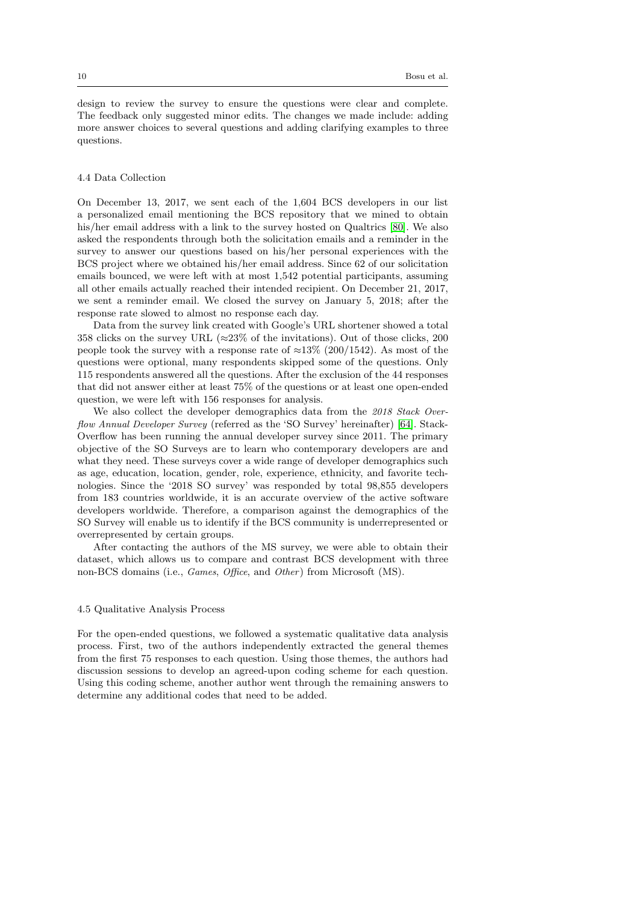design to review the survey to ensure the questions were clear and complete. The feedback only suggested minor edits. The changes we made include: adding more answer choices to several questions and adding clarifying examples to three questions.

# 4.4 Data Collection

On December 13, 2017, we sent each of the 1,604 BCS developers in our list a personalized email mentioning the BCS repository that we mined to obtain his/her email address with a link to the survey hosted on Qualtrics [\[80\]](#page-33-9). We also asked the respondents through both the solicitation emails and a reminder in the survey to answer our questions based on his/her personal experiences with the BCS project where we obtained his/her email address. Since 62 of our solicitation emails bounced, we were left with at most 1,542 potential participants, assuming all other emails actually reached their intended recipient. On December 21, 2017, we sent a reminder email. We closed the survey on January 5, 2018; after the response rate slowed to almost no response each day.

Data from the survey link created with Google's URL shortener showed a total 358 clicks on the survey URL ( $\approx$ 23% of the invitations). Out of those clicks, 200 people took the survey with a response rate of  $\approx 13\%$  (200/1542). As most of the questions were optional, many respondents skipped some of the questions. Only 115 respondents answered all the questions. After the exclusion of the 44 responses that did not answer either at least 75% of the questions or at least one open-ended question, we were left with 156 responses for analysis.

We also collect the developer demographics data from the 2018 Stack Overflow Annual Developer Survey (referred as the 'SO Survey' hereinafter) [\[64\]](#page-32-9). Stack-Overflow has been running the annual developer survey since 2011. The primary objective of the SO Surveys are to learn who contemporary developers are and what they need. These surveys cover a wide range of developer demographics such as age, education, location, gender, role, experience, ethnicity, and favorite technologies. Since the '2018 SO survey' was responded by total 98,855 developers from 183 countries worldwide, it is an accurate overview of the active software developers worldwide. Therefore, a comparison against the demographics of the SO Survey will enable us to identify if the BCS community is underrepresented or overrepresented by certain groups.

After contacting the authors of the MS survey, we were able to obtain their dataset, which allows us to compare and contrast BCS development with three non-BCS domains (i.e., *Games, Office*, and *Other*) from Microsoft (MS).

# 4.5 Qualitative Analysis Process

For the open-ended questions, we followed a systematic qualitative data analysis process. First, two of the authors independently extracted the general themes from the first 75 responses to each question. Using those themes, the authors had discussion sessions to develop an agreed-upon coding scheme for each question. Using this coding scheme, another author went through the remaining answers to determine any additional codes that need to be added.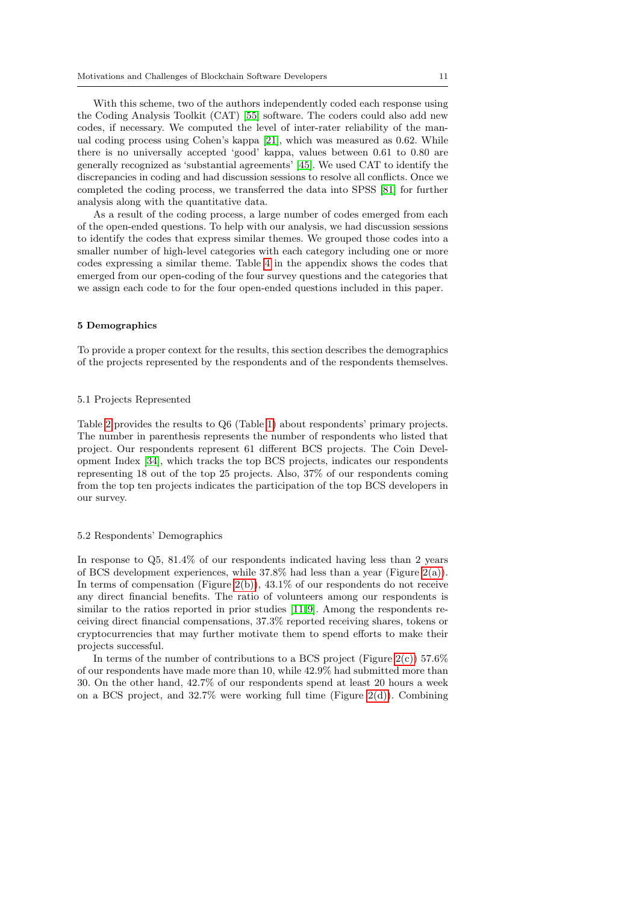With this scheme, two of the authors independently coded each response using the Coding Analysis Toolkit (CAT) [\[55\]](#page-32-10) software. The coders could also add new codes, if necessary. We computed the level of inter-rater reliability of the manual coding process using Cohen's kappa [\[21\]](#page-30-2), which was measured as 0.62. While there is no universally accepted 'good' kappa, values between 0.61 to 0.80 are generally recognized as 'substantial agreements' [\[45\]](#page-31-11). We used CAT to identify the discrepancies in coding and had discussion sessions to resolve all conflicts. Once we completed the coding process, we transferred the data into SPSS [\[81\]](#page-33-10) for further analysis along with the quantitative data.

As a result of the coding process, a large number of codes emerged from each of the open-ended questions. To help with our analysis, we had discussion sessions to identify the codes that express similar themes. We grouped those codes into a smaller number of high-level categories with each category including one or more codes expressing a similar theme. Table [4](#page-35-0) in the appendix shows the codes that emerged from our open-coding of the four survey questions and the categories that we assign each code to for the four open-ended questions included in this paper.

# <span id="page-10-0"></span>5 Demographics

To provide a proper context for the results, this section describes the demographics of the projects represented by the respondents and of the respondents themselves.

#### 5.1 Projects Represented

Table [2](#page-11-0) provides the results to Q6 (Table [1\)](#page-8-0) about respondents' primary projects. The number in parenthesis represents the number of respondents who listed that project. Our respondents represent 61 different BCS projects. The Coin Development Index [\[34\]](#page-31-12), which tracks the top BCS projects, indicates our respondents representing 18 out of the top 25 projects. Also, 37% of our respondents coming from the top ten projects indicates the participation of the top BCS developers in our survey.

#### 5.2 Respondents' Demographics

In response to Q5, 81.4% of our respondents indicated having less than 2 years of BCS development experiences, while  $37.8\%$  had less than a year (Figure [2\(a\)\)](#page-11-1). In terms of compensation (Figure [2\(b\)\)](#page-11-2), 43.1% of our respondents do not receive any direct financial benefits. The ratio of volunteers among our respondents is similar to the ratios reported in prior studies [\[11,](#page-30-9)9]. Among the respondents receiving direct financial compensations, 37.3% reported receiving shares, tokens or cryptocurrencies that may further motivate them to spend efforts to make their projects successful.

In terms of the number of contributions to a BCS project (Figure  $2(c)$ ) 57.6% of our respondents have made more than 10, while 42.9% had submitted more than 30. On the other hand, 42.7% of our respondents spend at least 20 hours a week on a BCS project, and  $32.7\%$  were working full time (Figure [2\(d\)\)](#page-11-4). Combining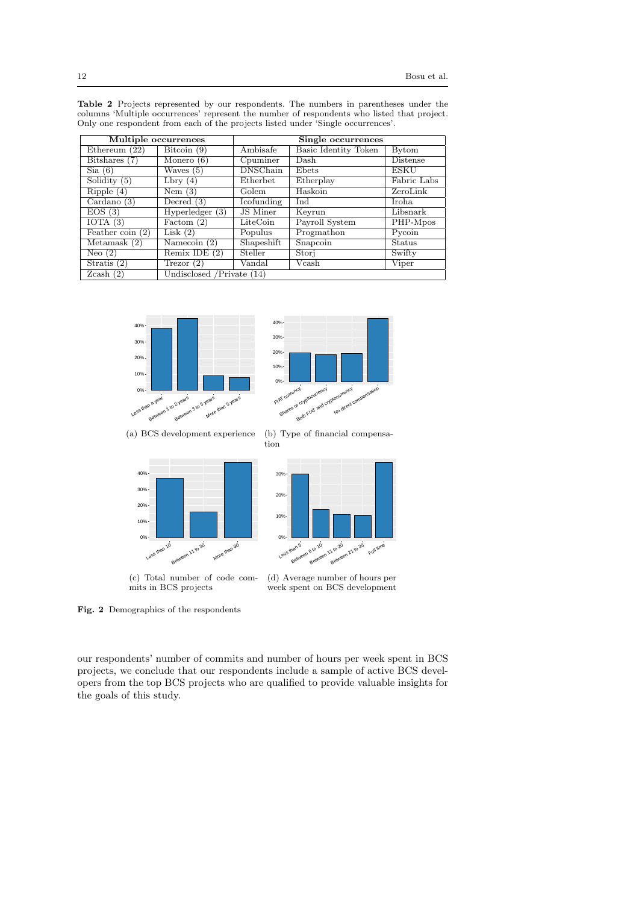| Multiple occurrences                            |                   |                    |                      |              |  |
|-------------------------------------------------|-------------------|--------------------|----------------------|--------------|--|
|                                                 |                   | Single occurrences |                      |              |  |
| Ethereum $(22)$                                 | Bitcoin (9)       | Ambisafe           | Basic Identity Token | <b>Bytom</b> |  |
| Bitshares (7)                                   | Monero $(6)$      | Cpuminer           | Dash                 | Distense     |  |
| Sia(6)                                          | Waves $(5)$       | <b>DNSChain</b>    | Ebets                | <b>ESKU</b>  |  |
| Solidity $(5)$                                  | Lbry $(4)$        | Etherbet           | Etherplay            | Fabric Labs  |  |
| Ripple(4)                                       | Nem $(3)$         | Golem              | Haskoin              | ZeroLink     |  |
| Cardano(3)                                      | Decred $(3)$      | Icofunding         | Ind                  | Iroha.       |  |
| EOS(3)                                          | Hyperledger $(3)$ | JS Miner           | Keyrun               | Libsnark     |  |
| IOTA $(3)$                                      | Factom $(2)$      | LiteCoin           | Payroll System       | PHP-Mpos     |  |
| Feather coin $(2)$                              | Lisk $(2)$        | Populus            | Progmathon           | Pycoin       |  |
| Metamask $(2)$                                  | Namecoin $(2)$    | Shapeshift         | Snapcoin             | Status       |  |
| Neo $(2)$                                       | Remix IDE $(2)$   | Steller            | Stori                | Swifty       |  |
| Stratis $(2)$                                   | Trezor $(2)$      | Vandal             | Vcash                | Viper        |  |
| Undisclosed /Private (14)<br>$Z\text{cash }(2)$ |                   |                    |                      |              |  |

<span id="page-11-0"></span>Table 2 Projects represented by our respondents. The numbers in parentheses under the columns 'Multiple occurrences' represent the number of respondents who listed that project. Only one respondent from each of the projects listed under 'Single occurrences'.

<span id="page-11-3"></span><span id="page-11-2"></span><span id="page-11-1"></span>

<span id="page-11-4"></span>Fig. 2 Demographics of the respondents

our respondents' number of commits and number of hours per week spent in BCS projects, we conclude that our respondents include a sample of active BCS developers from the top BCS projects who are qualified to provide valuable insights for the goals of this study.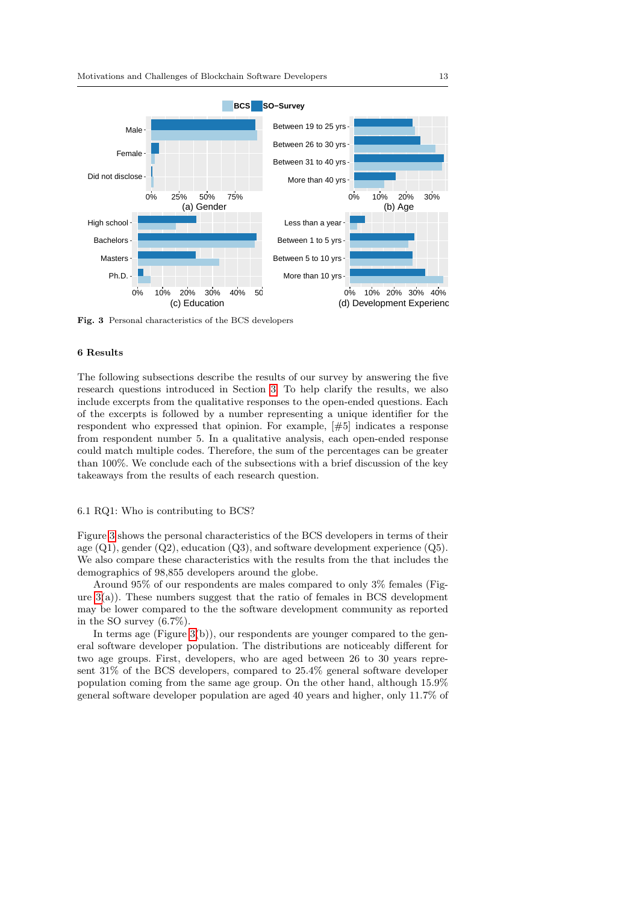

<span id="page-12-1"></span>Fig. 3 Personal characteristics of the BCS developers

# <span id="page-12-0"></span>6 Results

The following subsections describe the results of our survey by answering the five research questions introduced in Section [3.](#page-4-0) To help clarify the results, we also include excerpts from the qualitative responses to the open-ended questions. Each of the excerpts is followed by a number representing a unique identifier for the respondent who expressed that opinion. For example, [#5] indicates a response from respondent number 5. In a qualitative analysis, each open-ended response could match multiple codes. Therefore, the sum of the percentages can be greater than 100%. We conclude each of the subsections with a brief discussion of the key takeaways from the results of each research question.

# <span id="page-12-2"></span>6.1 RQ1: Who is contributing to BCS?

Figure [3](#page-12-1) shows the personal characteristics of the BCS developers in terms of their age  $(Q1)$ , gender  $(Q2)$ , education  $(Q3)$ , and software development experience  $(Q5)$ . We also compare these characteristics with the results from the that includes the demographics of 98,855 developers around the globe.

Around 95% of our respondents are males compared to only 3% females (Figure  $3(a)$ ). These numbers suggest that the ratio of females in BCS development may be lower compared to the the software development community as reported in the SO survey (6.7%).

In terms age (Figure [3\(](#page-12-1)b)), our respondents are younger compared to the general software developer population. The distributions are noticeably different for two age groups. First, developers, who are aged between 26 to 30 years represent 31% of the BCS developers, compared to 25.4% general software developer population coming from the same age group. On the other hand, although 15.9% general software developer population are aged 40 years and higher, only 11.7% of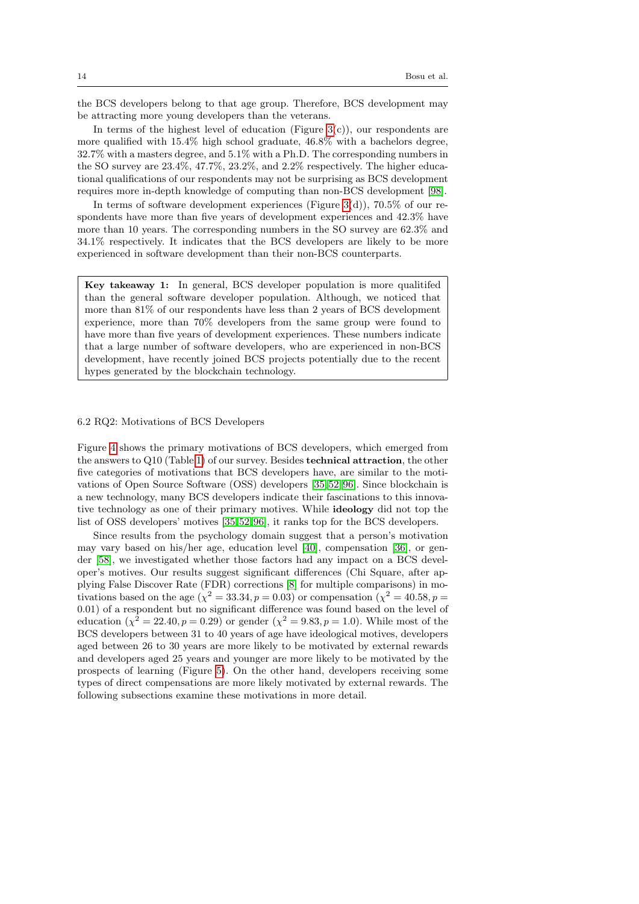the BCS developers belong to that age group. Therefore, BCS development may be attracting more young developers than the veterans.

In terms of the highest level of education (Figure  $3(c)$ ), our respondents are more qualified with 15.4% high school graduate, 46.8% with a bachelors degree, 32.7% with a masters degree, and 5.1% with a Ph.D. The corresponding numbers in the SO survey are 23.4%, 47.7%, 23.2%, and 2.2% respectively. The higher educational qualifications of our respondents may not be surprising as BCS development requires more in-depth knowledge of computing than non-BCS development [\[98\]](#page-34-0).

In terms of software development experiences (Figure [3\(](#page-12-1)d)),  $70.5\%$  of our respondents have more than five years of development experiences and 42.3% have more than 10 years. The corresponding numbers in the SO survey are 62.3% and 34.1% respectively. It indicates that the BCS developers are likely to be more experienced in software development than their non-BCS counterparts.

Key takeaway 1: In general, BCS developer population is more qualitifed than the general software developer population. Although, we noticed that more than 81% of our respondents have less than 2 years of BCS development experience, more than 70% developers from the same group were found to have more than five years of development experiences. These numbers indicate that a large number of software developers, who are experienced in non-BCS development, have recently joined BCS projects potentially due to the recent hypes generated by the blockchain technology.

# 6.2 RQ2: Motivations of BCS Developers

Figure [4](#page-14-0) shows the primary motivations of BCS developers, which emerged from the answers to Q10 (Table [1\)](#page-8-0) of our survey. Besides technical attraction, the other five categories of motivations that BCS developers have, are similar to the motivations of Open Source Software (OSS) developers [\[35,](#page-31-7)[52,](#page-32-5) [96\]](#page-33-11). Since blockchain is a new technology, many BCS developers indicate their fascinations to this innovative technology as one of their primary motives. While ideology did not top the list of OSS developers' motives [\[35,](#page-31-7) [52,](#page-32-5) [96\]](#page-33-11), it ranks top for the BCS developers.

Since results from the psychology domain suggest that a person's motivation may vary based on his/her age, education level [\[40\]](#page-31-13), compensation [\[36\]](#page-31-14), or gender [\[58\]](#page-32-11), we investigated whether those factors had any impact on a BCS developer's motives. Our results suggest significant differences (Chi Square, after applying False Discover Rate (FDR) corrections [\[8\]](#page-30-11) for multiple comparisons) in motivations based on the age  $(\chi^2 = 33.34, p = 0.03)$  or compensation  $(\chi^2 = 40.58, p = 0.03)$ 0.01) of a respondent but no significant difference was found based on the level of education  $(\chi^2 = 22.40, p = 0.29)$  or gender  $(\chi^2 = 9.83, p = 1.0)$ . While most of the BCS developers between 31 to 40 years of age have ideological motives, developers aged between 26 to 30 years are more likely to be motivated by external rewards and developers aged 25 years and younger are more likely to be motivated by the prospects of learning (Figure [5\)](#page-14-1). On the other hand, developers receiving some types of direct compensations are more likely motivated by external rewards. The following subsections examine these motivations in more detail.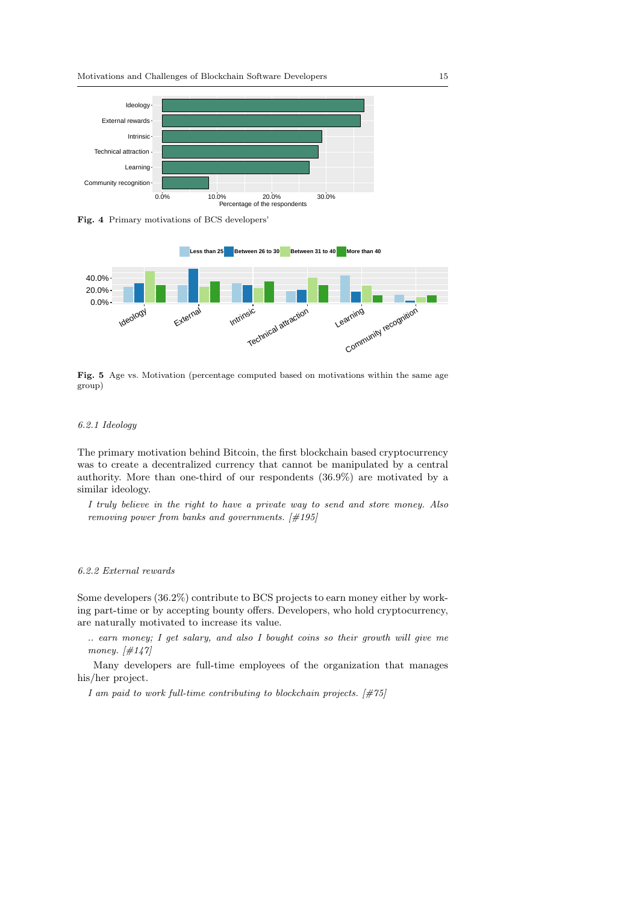

<span id="page-14-0"></span>Fig. 4 Primary motivations of BCS developers'



<span id="page-14-1"></span>Fig. 5 Age vs. Motivation (percentage computed based on motivations within the same age group)

# <span id="page-14-2"></span>6.2.1 Ideology

The primary motivation behind Bitcoin, the first blockchain based cryptocurrency was to create a decentralized currency that cannot be manipulated by a central authority. More than one-third of our respondents (36.9%) are motivated by a similar ideology.

I truly believe in the right to have a private way to send and store money. Also removing power from banks and governments. [#195]

# 6.2.2 External rewards

Some developers (36.2%) contribute to BCS projects to earn money either by working part-time or by accepting bounty offers. Developers, who hold cryptocurrency, are naturally motivated to increase its value.

.. earn money; I get salary, and also I bought coins so their growth will give me money.  $[\#147]$ 

Many developers are full-time employees of the organization that manages his/her project.

I am paid to work full-time contributing to blockchain projects.  $[\text{\#}75]$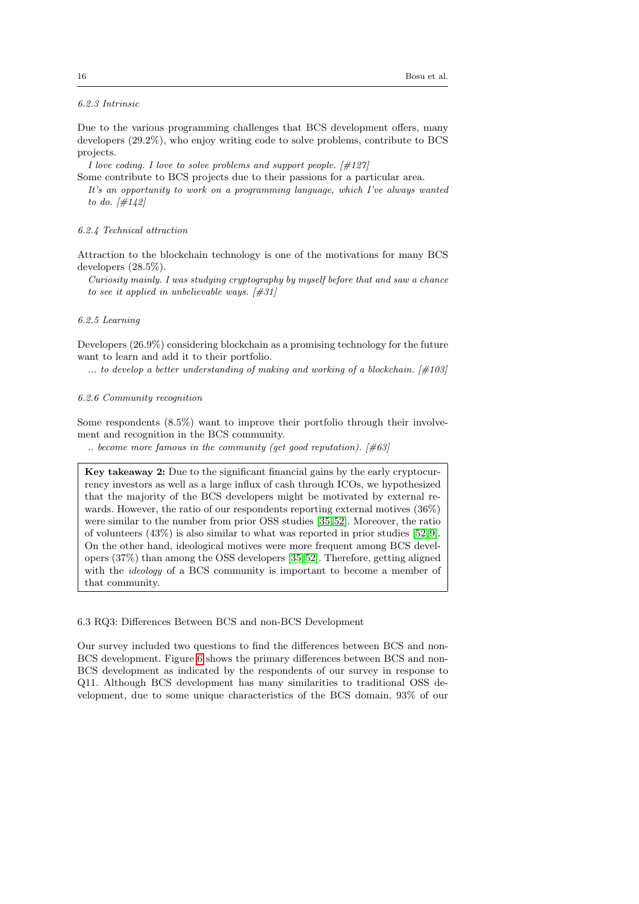# 6.2.3 Intrinsic

Due to the various programming challenges that BCS development offers, many developers (29.2%), who enjoy writing code to solve problems, contribute to BCS projects.

I love coding. I love to solve problems and support people.  $[\#127]$ 

Some contribute to BCS projects due to their passions for a particular area.

It's an opportunity to work on a programming language, which I've always wanted to do.  $[\#142]$ 

#### 6.2.4 Technical attraction

Attraction to the blockchain technology is one of the motivations for many BCS developers (28.5%).

Curiosity mainly. I was studying cryptography by myself before that and saw a chance to see it applied in unbelievable ways.  $[#31]$ 

### 6.2.5 Learning

Developers (26.9%) considering blockchain as a promising technology for the future want to learn and add it to their portfolio.

... to develop a better understanding of making and working of a blockchain.  $[\#103]$ 

# 6.2.6 Community recognition

Some respondents (8.5%) want to improve their portfolio through their involvement and recognition in the BCS community.

.. become more famous in the community (get good reputation).  $[\text{\#}63]$ 

Key takeaway 2: Due to the significant financial gains by the early cryptocurrency investors as well as a large influx of cash through ICOs, we hypothesized that the majority of the BCS developers might be motivated by external rewards. However, the ratio of our respondents reporting external motives (36%) were similar to the number from prior OSS studies [\[35,](#page-31-7) [52\]](#page-32-5). Moreover, the ratio of volunteers (43%) is also similar to what was reported in prior studies [\[52,](#page-32-5) [9\]](#page-30-10). On the other hand, ideological motives were more frequent among BCS developers (37%) than among the OSS developers [\[35,](#page-31-7) [52\]](#page-32-5). Therefore, getting aligned with the *ideology* of a BCS community is important to become a member of that community.

# <span id="page-15-0"></span>6.3 RQ3: Differences Between BCS and non-BCS Development

Our survey included two questions to find the differences between BCS and non-BCS development. Figure [6](#page-16-0) shows the primary differences between BCS and non-BCS development as indicated by the respondents of our survey in response to Q11. Although BCS development has many similarities to traditional OSS development, due to some unique characteristics of the BCS domain, 93% of our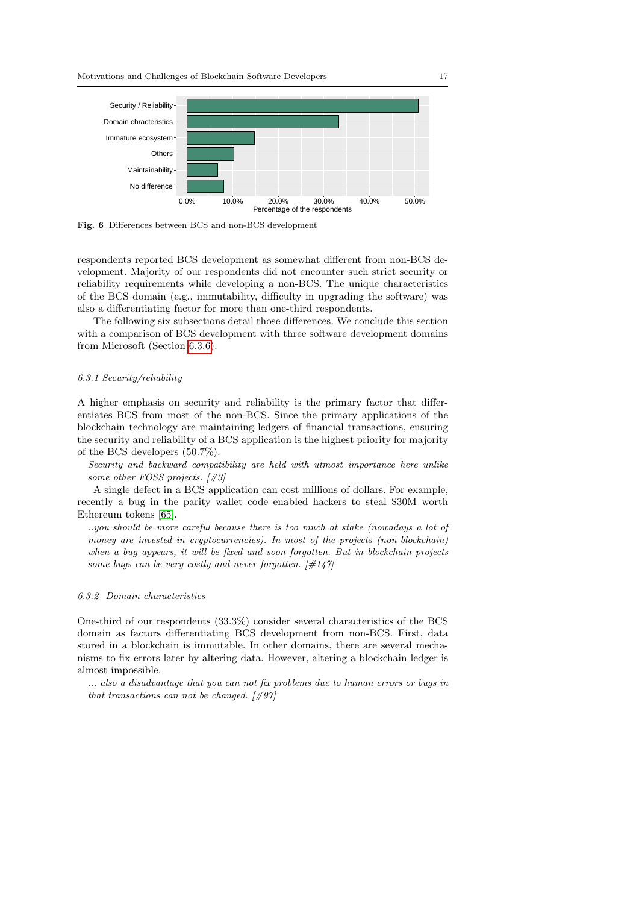

<span id="page-16-0"></span>Fig. 6 Differences between BCS and non-BCS development

respondents reported BCS development as somewhat different from non-BCS development. Majority of our respondents did not encounter such strict security or reliability requirements while developing a non-BCS. The unique characteristics of the BCS domain (e.g., immutability, difficulty in upgrading the software) was also a differentiating factor for more than one-third respondents.

The following six subsections detail those differences. We conclude this section with a comparison of BCS development with three software development domains from Microsoft (Section [6.3.6\)](#page-19-0).

#### <span id="page-16-1"></span>6.3.1 Security/reliability

A higher emphasis on security and reliability is the primary factor that differentiates BCS from most of the non-BCS. Since the primary applications of the blockchain technology are maintaining ledgers of financial transactions, ensuring the security and reliability of a BCS application is the highest priority for majority of the BCS developers (50.7%).

Security and backward compatibility are held with utmost importance here unlike some other FOSS projects. [#3]

A single defect in a BCS application can cost millions of dollars. For example, recently a bug in the parity wallet code enabled hackers to steal \$30M worth Ethereum tokens [\[65\]](#page-32-12).

..you should be more careful because there is too much at stake (nowadays a lot of money are invested in cryptocurrencies). In most of the projects (non-blockchain) when a bug appears, it will be fixed and soon forgotten. But in blockchain projects some bugs can be very costly and never forgotten.  $\left[\#147\right]$ 

# <span id="page-16-2"></span>6.3.2 Domain characteristics

One-third of our respondents (33.3%) consider several characteristics of the BCS domain as factors differentiating BCS development from non-BCS. First, data stored in a blockchain is immutable. In other domains, there are several mechanisms to fix errors later by altering data. However, altering a blockchain ledger is almost impossible.

... also a disadvantage that you can not fix problems due to human errors or bugs in that transactions can not be changed.  $[\#97]$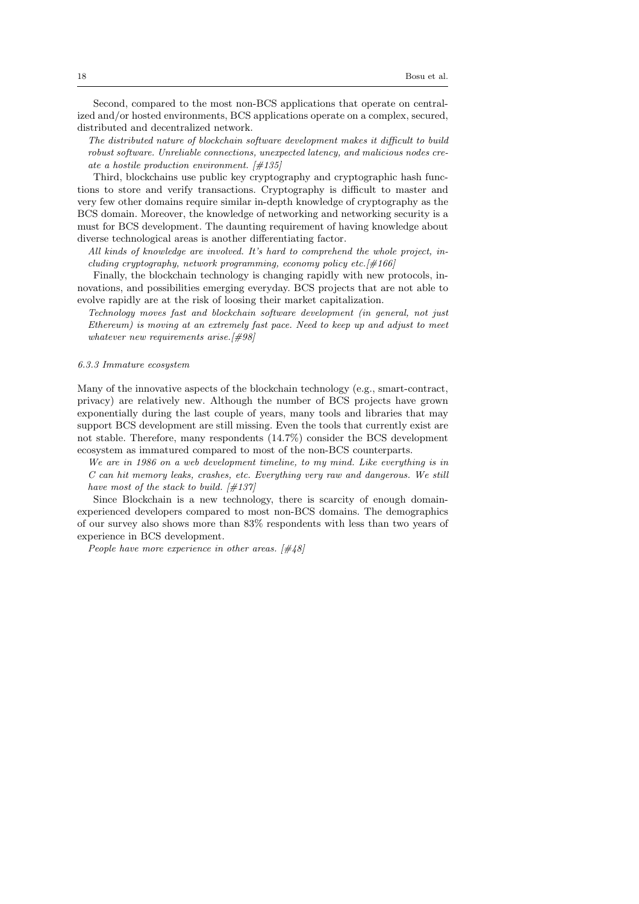Second, compared to the most non-BCS applications that operate on centralized and/or hosted environments, BCS applications operate on a complex, secured, distributed and decentralized network.

The distributed nature of blockchain software development makes it difficult to build robust software. Unreliable connections, unexpected latency, and malicious nodes create a hostile production environment.  $[\#135]$ 

Third, blockchains use public key cryptography and cryptographic hash functions to store and verify transactions. Cryptography is difficult to master and very few other domains require similar in-depth knowledge of cryptography as the BCS domain. Moreover, the knowledge of networking and networking security is a must for BCS development. The daunting requirement of having knowledge about diverse technological areas is another differentiating factor.

All kinds of knowledge are involved. It's hard to comprehend the whole project, including cryptography, network programming, economy policy etc.[#166]

Finally, the blockchain technology is changing rapidly with new protocols, innovations, and possibilities emerging everyday. BCS projects that are not able to evolve rapidly are at the risk of loosing their market capitalization.

Technology moves fast and blockchain software development (in general, not just Ethereum) is moving at an extremely fast pace. Need to keep up and adjust to meet whatever new requirements arise.[#98]

#### 6.3.3 Immature ecosystem

Many of the innovative aspects of the blockchain technology (e.g., smart-contract, privacy) are relatively new. Although the number of BCS projects have grown exponentially during the last couple of years, many tools and libraries that may support BCS development are still missing. Even the tools that currently exist are not stable. Therefore, many respondents (14.7%) consider the BCS development ecosystem as immatured compared to most of the non-BCS counterparts.

We are in 1986 on a web development timeline, to my mind. Like everything is in C can hit memory leaks, crashes, etc. Everything very raw and dangerous. We still have most of the stack to build.  $[\#137]$ 

Since Blockchain is a new technology, there is scarcity of enough domainexperienced developers compared to most non-BCS domains. The demographics of our survey also shows more than 83% respondents with less than two years of experience in BCS development.

People have more experience in other areas.  $[\#48]$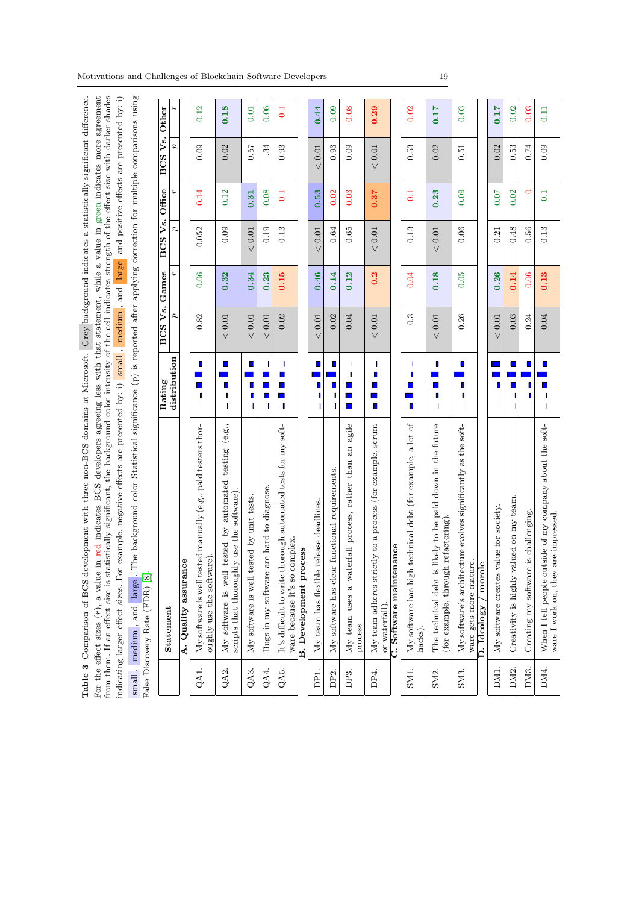For the effect sizes  $(r)$ , a value in red indicates BCS developers agreeing less with that statement, while a value in green indicates more agreement<br>from them. If an effect size is statistically significant, the backgrou indicating larger effect sizes. For example, negative effects are presented by: i) small, medium, and large and positive effects are presented by: i) small, medium, and large. The background color Statistical significance (p) is reported after applying correction for multiple comparisons using Table 3 Comparison of BCS development with three non-BCS domains at Microsoft. Grey background indicates a statistically significant difference. **Table 3** Comparison of BCS development with three non-BCS domains at Microsoft. Grey background indicates a statistically significant difference.<br>For the effect sizes ( $r$ ), a value in red indicates BCS developers agreei Ę,

|                   | alse Discovery Rate (FDR) [8].                                                                         |                                                                                                                                                                                                                                                                                                                                                                                                                           |                          |            |                     |                  |                    | C              |
|-------------------|--------------------------------------------------------------------------------------------------------|---------------------------------------------------------------------------------------------------------------------------------------------------------------------------------------------------------------------------------------------------------------------------------------------------------------------------------------------------------------------------------------------------------------------------|--------------------------|------------|---------------------|------------------|--------------------|----------------|
|                   | <b>Statement</b>                                                                                       | distribution<br>Rating                                                                                                                                                                                                                                                                                                                                                                                                    | BCS V <sub>s.</sub><br>Þ | Games<br>r | BCS Vs. Office<br>ø |                  | BCS Vs. Other<br>p | ٤              |
|                   | A. Quality assurance                                                                                   |                                                                                                                                                                                                                                                                                                                                                                                                                           |                          |            |                     |                  |                    |                |
| QA1.              | My software is well tested manually (e.g., paid testers thor-<br>oughly use the software)              | П<br>٠<br>ı                                                                                                                                                                                                                                                                                                                                                                                                               | 0.82                     | 0.06       | 0.052               | 0.14             | 0.09               | 0.12           |
| QA2.              | (e.g.,<br>My software is well tested by automated testing<br>scripts that thoroughly use the software) | $\mathcal{L}_{\mathcal{A}}$<br>П<br>ı<br>T                                                                                                                                                                                                                                                                                                                                                                                | $< 0.01$                 | 0.32       | 0.09                | 0.12             | 0.02               | 0.18           |
| QA3.              | My software is well tested by unit tests.                                                              | $\blacksquare$<br>$\blacksquare$<br>ı<br>1                                                                                                                                                                                                                                                                                                                                                                                | $< 0.01$                 | 0.34       | $< 0.01$            | 0.31             | 750                | 0.01           |
| QA4.              | Bugs in my software are hard to diagnose.                                                              | I<br>$\blacksquare$<br>П<br>I                                                                                                                                                                                                                                                                                                                                                                                             | $< 0.01$                 | 0.23       | 0.19                | 0.08             | 34                 | 0.06           |
| QA5.              | It's difficult to write thorough automated tests for my soft-<br>ware because it's so complex.         | I<br>$\mathcal{L}_{\mathcal{A}}$<br>×,<br>┓<br>ı                                                                                                                                                                                                                                                                                                                                                                          | 0.02                     | 0.15       | 0.13                | $\overline{0}$   | 0.93               | $\overline{0}$ |
|                   | orocess<br><b>B.</b> Development <sub>I</sub>                                                          |                                                                                                                                                                                                                                                                                                                                                                                                                           |                          |            |                     |                  |                    |                |
| DP1.              | My team has flexible release deadlines.                                                                | $\mathcal{L}$<br>L<br>ı<br>T                                                                                                                                                                                                                                                                                                                                                                                              | < 0.01                   | 0.46       | $< 0.01$            | 0.53             | < 0.01             | 0.44           |
| DP <sub>2</sub> . | My software has clear functional requirements.                                                         | $\mathbf{r}$<br>П<br>ı<br>ı                                                                                                                                                                                                                                                                                                                                                                                               | 0.02                     | 0.14       | 0.64                | 0.02             | 0.93               | 0.09           |
| DP <sub>3</sub> . | agile<br>an<br>My team uses a waterfall process, rather than<br>process.                               | ı<br>$\mathcal{L}_{\mathcal{A}}$<br>۳<br>$\blacksquare$                                                                                                                                                                                                                                                                                                                                                                   | 0.04                     | 0.12       | 0.65                | 0.03             | 0.09               | 0.08           |
| DP4.              | My team adheres strictly to a process (for example, scrum<br>or waterfall).                            | I<br>Ľ<br>٦<br>$\blacksquare$                                                                                                                                                                                                                                                                                                                                                                                             | $< 0.01$                 | 0.2        | $< 0.01\,$          | 0.37             | $< 0.01$           | 0.29           |
|                   | C. Software maintenance                                                                                |                                                                                                                                                                                                                                                                                                                                                                                                                           |                          |            |                     |                  |                    |                |
| SM1.              | My software has high technical debt (for example, a lot of<br>hacks).                                  | I<br>I<br>$\Box$<br>٠<br>▉                                                                                                                                                                                                                                                                                                                                                                                                | $0.\overline{3}$         | 0.04       | 0.13                | $\overline{0}$ . | 0.53               | 0.02           |
| SM <sub>2</sub> . | is likely to be paid down in the future<br>(for example, through refactoring)<br>The technical debt    | <b>I</b><br>□<br>ı<br>$\mathbf{I}$                                                                                                                                                                                                                                                                                                                                                                                        | < 0.01                   | 0.18       | < 0.01              | 0.23             | 0.02               | 0.17           |
| SM <sub>3</sub> . | My software's architecture evolves significantly as the soft-<br>ware gets more mature.                | $\blacksquare$<br>Ľ<br>Ľ                                                                                                                                                                                                                                                                                                                                                                                                  | 0.26                     | 0.05       | 0.06                | 0.09             | 0.51               | 0.03           |
|                   | D. Ideology / morale                                                                                   |                                                                                                                                                                                                                                                                                                                                                                                                                           |                          |            |                     |                  |                    |                |
| DM1.              | My software creates value for society.                                                                 | П                                                                                                                                                                                                                                                                                                                                                                                                                         | < 0.01                   | 0.26       | 0.21                | 0.07             | 0.02               | 0.17           |
| DM <sub>2</sub> . | Creativity is highly valued on my team.                                                                | $\blacksquare$<br>□<br>I<br>$\mathsf{I}$                                                                                                                                                                                                                                                                                                                                                                                  | 0.03                     | 0.14       | 0.48                | 0.02             | 0.53               | 0.02           |
| DM <sub>3</sub> . | Creating my software is challenging.                                                                   | П<br>L<br>Π                                                                                                                                                                                                                                                                                                                                                                                                               | 0.24                     | 0.06       | 0.56                | $\bullet$        | 0.74               | 0.03           |
| DM4.              | When I tell people outside of my company about the soft-<br>ware I work on, they are impressed.        | $\blacksquare$<br>$\blacksquare$<br>I<br>$\begin{array}{c} \rule{0pt}{2.5ex} \rule{0pt}{2.5ex} \rule{0pt}{2.5ex} \rule{0pt}{2.5ex} \rule{0pt}{2.5ex} \rule{0pt}{2.5ex} \rule{0pt}{2.5ex} \rule{0pt}{2.5ex} \rule{0pt}{2.5ex} \rule{0pt}{2.5ex} \rule{0pt}{2.5ex} \rule{0pt}{2.5ex} \rule{0pt}{2.5ex} \rule{0pt}{2.5ex} \rule{0pt}{2.5ex} \rule{0pt}{2.5ex} \rule{0pt}{2.5ex} \rule{0pt}{2.5ex} \rule{0pt}{2.5ex} \rule{0$ | 0.04                     | 0.13       | 0.13                | $\overline{0.1}$ | 0.09               | 0.11           |

<span id="page-18-0"></span>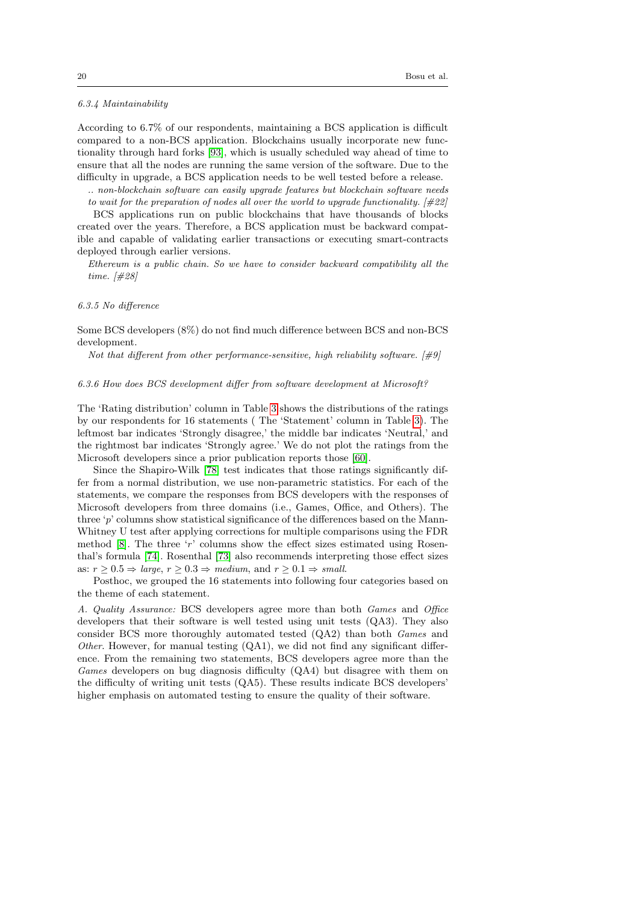# <span id="page-19-2"></span>6.3.4 Maintainability

According to 6.7% of our respondents, maintaining a BCS application is difficult compared to a non-BCS application. Blockchains usually incorporate new functionality through hard forks [\[93\]](#page-33-12), which is usually scheduled way ahead of time to ensure that all the nodes are running the same version of the software. Due to the difficulty in upgrade, a BCS application needs to be well tested before a release.

.. non-blockchain software can easily upgrade features but blockchain software needs to wait for the preparation of nodes all over the world to upgrade functionality. [#22]

BCS applications run on public blockchains that have thousands of blocks created over the years. Therefore, a BCS application must be backward compatible and capable of validating earlier transactions or executing smart-contracts deployed through earlier versions.

Ethereum is a public chain. So we have to consider backward compatibility all the time. [#28]

#### <span id="page-19-1"></span>6.3.5 No difference

Some BCS developers (8%) do not find much difference between BCS and non-BCS development.

Not that different from other performance-sensitive, high reliability software.  $[\#9]$ 

# <span id="page-19-0"></span>6.3.6 How does BCS development differ from software development at Microsoft?

The 'Rating distribution' column in Table [3](#page-18-0) shows the distributions of the ratings by our respondents for 16 statements ( The 'Statement' column in Table [3\)](#page-18-0). The leftmost bar indicates 'Strongly disagree,' the middle bar indicates 'Neutral,' and the rightmost bar indicates 'Strongly agree.' We do not plot the ratings from the Microsoft developers since a prior publication reports those [\[60\]](#page-32-4).

Since the Shapiro-Wilk [\[78\]](#page-33-13) test indicates that those ratings significantly differ from a normal distribution, we use non-parametric statistics. For each of the statements, we compare the responses from BCS developers with the responses of Microsoft developers from three domains (i.e., Games, Office, and Others). The three 'p' columns show statistical significance of the differences based on the Mann-Whitney U test after applying corrections for multiple comparisons using the FDR method [\[8\]](#page-30-11). The three 'r' columns show the effect sizes estimated using Rosenthal's formula [\[74\]](#page-33-14). Rosenthal [\[73\]](#page-33-15) also recommends interpreting those effect sizes as:  $r \geq 0.5 \Rightarrow large, r \geq 0.3 \Rightarrow medium, and r \geq 0.1 \Rightarrow small.$ 

Posthoc, we grouped the 16 statements into following four categories based on the theme of each statement.

A. Quality Assurance: BCS developers agree more than both Games and Office developers that their software is well tested using unit tests (QA3). They also consider BCS more thoroughly automated tested (QA2) than both Games and Other. However, for manual testing  $(QA1)$ , we did not find any significant difference. From the remaining two statements, BCS developers agree more than the Games developers on bug diagnosis difficulty (QA4) but disagree with them on the difficulty of writing unit tests (QA5). These results indicate BCS developers' higher emphasis on automated testing to ensure the quality of their software.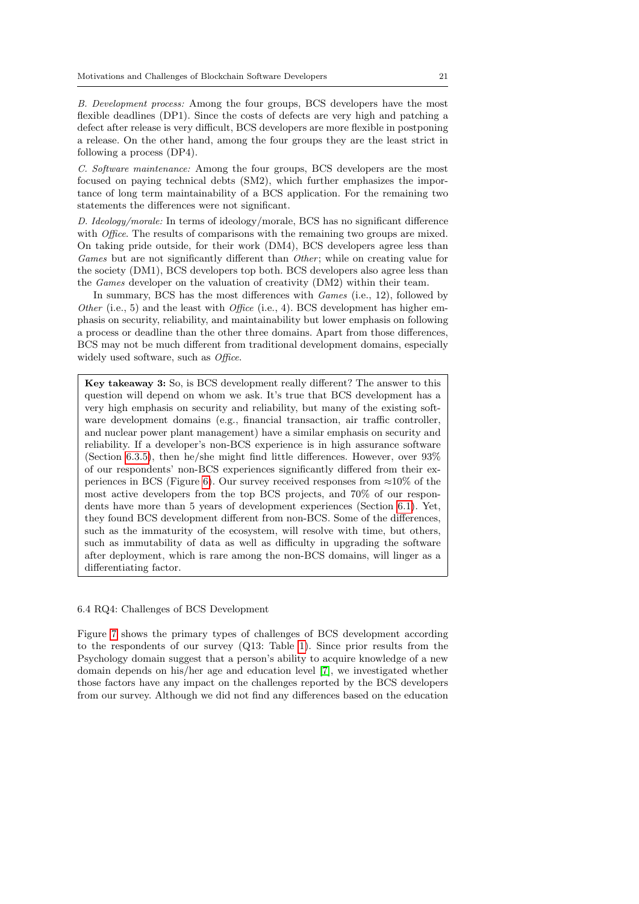B. Development process: Among the four groups, BCS developers have the most flexible deadlines (DP1). Since the costs of defects are very high and patching a defect after release is very difficult, BCS developers are more flexible in postponing a release. On the other hand, among the four groups they are the least strict in following a process (DP4).

C. Software maintenance: Among the four groups, BCS developers are the most focused on paying technical debts (SM2), which further emphasizes the importance of long term maintainability of a BCS application. For the remaining two statements the differences were not significant.

D. Ideology/morale: In terms of ideology/morale, BCS has no significant difference with *Office*. The results of comparisons with the remaining two groups are mixed. On taking pride outside, for their work (DM4), BCS developers agree less than Games but are not significantly different than *Other*; while on creating value for the society (DM1), BCS developers top both. BCS developers also agree less than the Games developer on the valuation of creativity (DM2) within their team.

In summary, BCS has the most differences with *Games* (i.e., 12), followed by Other (i.e., 5) and the least with Office (i.e., 4). BCS development has higher emphasis on security, reliability, and maintainability but lower emphasis on following a process or deadline than the other three domains. Apart from those differences, BCS may not be much different from traditional development domains, especially widely used software, such as *Office*.

Key takeaway 3: So, is BCS development really different? The answer to this question will depend on whom we ask. It's true that BCS development has a very high emphasis on security and reliability, but many of the existing software development domains (e.g., financial transaction, air traffic controller, and nuclear power plant management) have a similar emphasis on security and reliability. If a developer's non-BCS experience is in high assurance software (Section [6.3.5\)](#page-19-1), then he/she might find little differences. However, over  $93\%$ of our respondents' non-BCS experiences significantly differed from their ex-periences in BCS (Figure [6\)](#page-16-0). Our survey received responses from  $\approx 10\%$  of the most active developers from the top BCS projects, and 70% of our respondents have more than 5 years of development experiences (Section [6.1\)](#page-12-2). Yet, they found BCS development different from non-BCS. Some of the differences, such as the immaturity of the ecosystem, will resolve with time, but others, such as immutability of data as well as difficulty in upgrading the software after deployment, which is rare among the non-BCS domains, will linger as a differentiating factor.

#### 6.4 RQ4: Challenges of BCS Development

Figure [7](#page-21-0) shows the primary types of challenges of BCS development according to the respondents of our survey (Q13: Table [1\)](#page-8-0). Since prior results from the Psychology domain suggest that a person's ability to acquire knowledge of a new domain depends on his/her age and education level [\[7\]](#page-30-12), we investigated whether those factors have any impact on the challenges reported by the BCS developers from our survey. Although we did not find any differences based on the education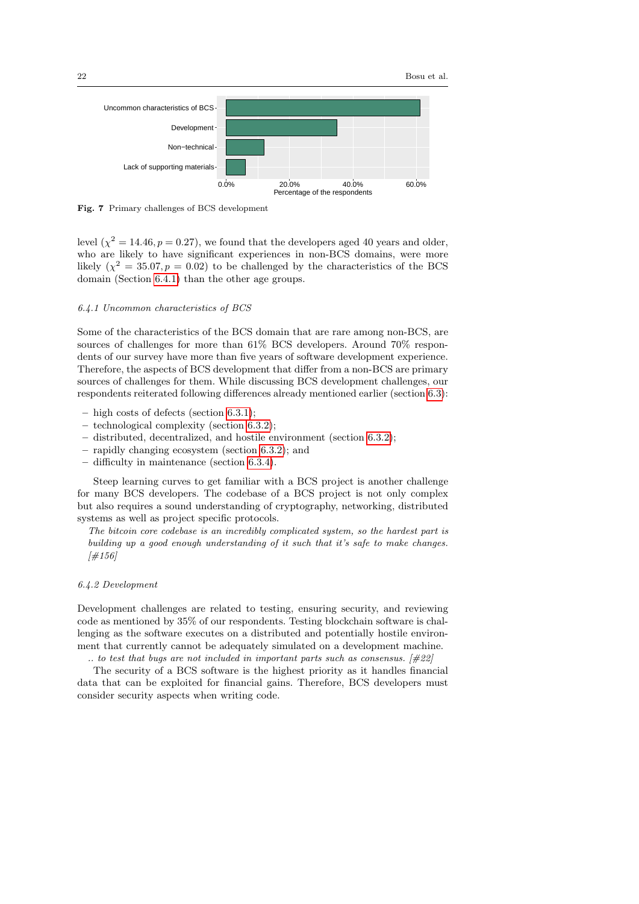

<span id="page-21-0"></span>Fig. 7 Primary challenges of BCS development

level  $(\chi^2 = 14.46, p = 0.27)$ , we found that the developers aged 40 years and older, who are likely to have significant experiences in non-BCS domains, were more likely  $(\chi^2 = 35.07, p = 0.02)$  to be challenged by the characteristics of the BCS domain (Section [6.4.1\)](#page-21-1) than the other age groups.

# <span id="page-21-1"></span>6.4.1 Uncommon characteristics of BCS

Some of the characteristics of the BCS domain that are rare among non-BCS, are sources of challenges for more than 61% BCS developers. Around 70% respondents of our survey have more than five years of software development experience. Therefore, the aspects of BCS development that differ from a non-BCS are primary sources of challenges for them. While discussing BCS development challenges, our respondents reiterated following differences already mentioned earlier (section [6.3\)](#page-15-0):

- high costs of defects (section [6.3.1\)](#page-16-1);
- technological complexity (section [6.3.2\)](#page-16-2);
- distributed, decentralized, and hostile environment (section [6.3.2\)](#page-16-2);
- rapidly changing ecosystem (section [6.3.2\)](#page-16-2); and
- difficulty in maintenance (section [6.3.4\)](#page-19-2).

Steep learning curves to get familiar with a BCS project is another challenge for many BCS developers. The codebase of a BCS project is not only complex but also requires a sound understanding of cryptography, networking, distributed systems as well as project specific protocols.

The bitcoin core codebase is an incredibly complicated system, so the hardest part is building up a good enough understanding of it such that it's safe to make changes.  $[#156]$ 

# 6.4.2 Development

Development challenges are related to testing, ensuring security, and reviewing code as mentioned by 35% of our respondents. Testing blockchain software is challenging as the software executes on a distributed and potentially hostile environment that currently cannot be adequately simulated on a development machine.

.. to test that bugs are not included in important parts such as consensus.  $[#22]$ 

The security of a BCS software is the highest priority as it handles financial data that can be exploited for financial gains. Therefore, BCS developers must consider security aspects when writing code.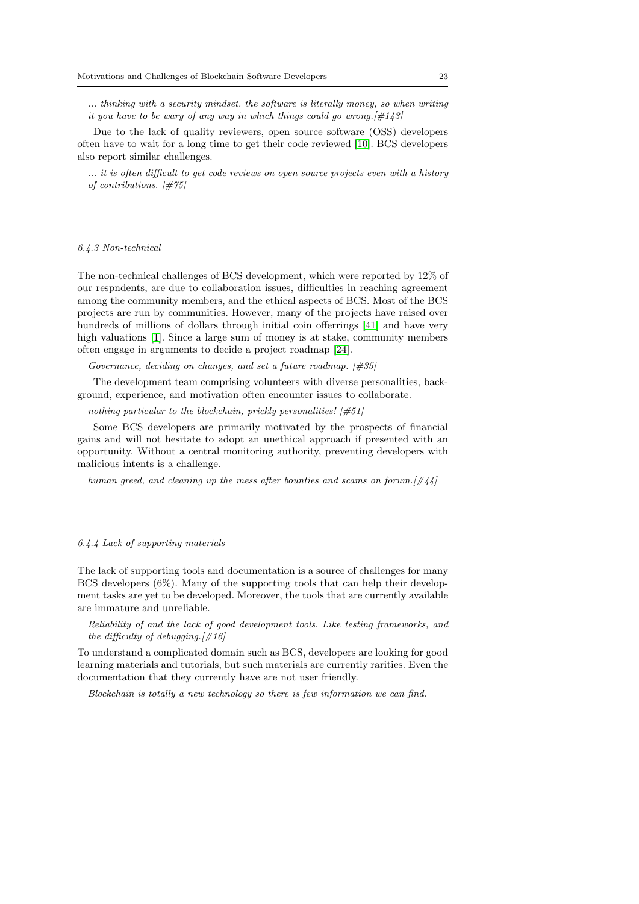... thinking with a security mindset. the software is literally money, so when writing it you have to be wary of any way in which things could go wrong.  $\left[\#143\right]$ 

Due to the lack of quality reviewers, open source software (OSS) developers often have to wait for a long time to get their code reviewed [\[10\]](#page-30-13). BCS developers also report similar challenges.

... it is often difficult to get code reviews on open source projects even with a history of contributions. [#75]

#### 6.4.3 Non-technical

The non-technical challenges of BCS development, which were reported by 12% of our respndents, are due to collaboration issues, difficulties in reaching agreement among the community members, and the ethical aspects of BCS. Most of the BCS projects are run by communities. However, many of the projects have raised over hundreds of millions of dollars through initial coin offerrings [\[41\]](#page-31-15) and have very high valuations [\[1\]](#page-30-14). Since a large sum of money is at stake, community members often engage in arguments to decide a project roadmap [\[24\]](#page-31-16).

Governance, deciding on changes, and set a future roadmap.  $[\#35]$ 

The development team comprising volunteers with diverse personalities, background, experience, and motivation often encounter issues to collaborate.

nothing particular to the blockchain, prickly personalities!  $[\#51]$ 

Some BCS developers are primarily motivated by the prospects of financial gains and will not hesitate to adopt an unethical approach if presented with an opportunity. Without a central monitoring authority, preventing developers with malicious intents is a challenge.

human greed, and cleaning up the mess after bounties and scams on forum.  $[\#44]$ 

### <span id="page-22-0"></span>6.4.4 Lack of supporting materials

The lack of supporting tools and documentation is a source of challenges for many BCS developers (6%). Many of the supporting tools that can help their development tasks are yet to be developed. Moreover, the tools that are currently available are immature and unreliable.

Reliability of and the lack of good development tools. Like testing frameworks, and the difficulty of debugging.  $[\#16]$ 

To understand a complicated domain such as BCS, developers are looking for good learning materials and tutorials, but such materials are currently rarities. Even the documentation that they currently have are not user friendly.

Blockchain is totally a new technology so there is few information we can find.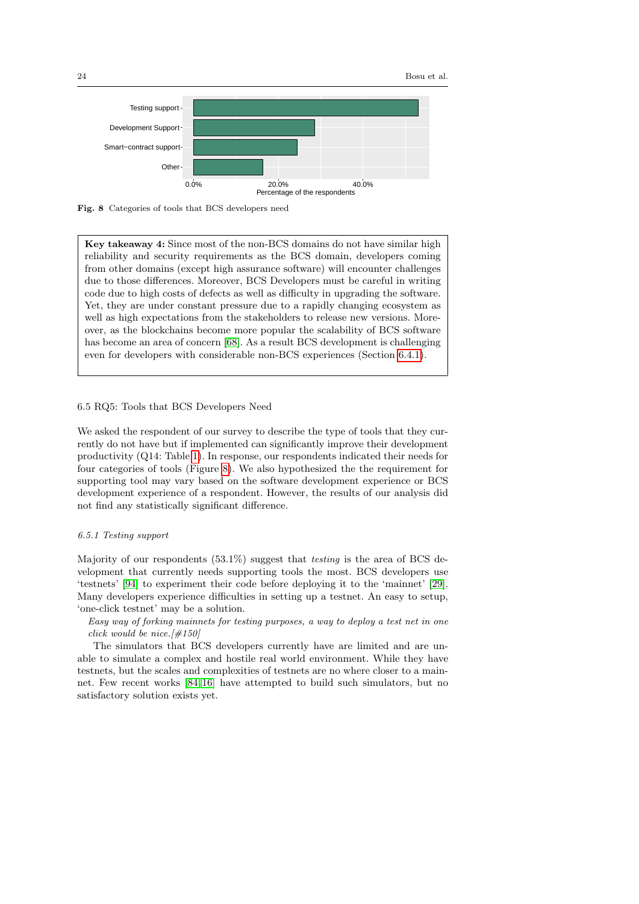

<span id="page-23-0"></span>

Key takeaway 4: Since most of the non-BCS domains do not have similar high reliability and security requirements as the BCS domain, developers coming from other domains (except high assurance software) will encounter challenges due to those differences. Moreover, BCS Developers must be careful in writing code due to high costs of defects as well as difficulty in upgrading the software. Yet, they are under constant pressure due to a rapidly changing ecosystem as well as high expectations from the stakeholders to release new versions. Moreover, as the blockchains become more popular the scalability of BCS software has become an area of concern [\[68\]](#page-32-2). As a result BCS development is challenging even for developers with considerable non-BCS experiences (Section [6.4.1\)](#page-21-1).

# <span id="page-23-2"></span>6.5 RQ5: Tools that BCS Developers Need

We asked the respondent of our survey to describe the type of tools that they currently do not have but if implemented can significantly improve their development productivity (Q14: Table [1\)](#page-8-0). In response, our respondents indicated their needs for four categories of tools (Figure [8\)](#page-23-0). We also hypothesized the the requirement for supporting tool may vary based on the software development experience or BCS development experience of a respondent. However, the results of our analysis did not find any statistically significant difference.

#### <span id="page-23-1"></span>6.5.1 Testing support

Majority of our respondents (53.1%) suggest that testing is the area of BCS development that currently needs supporting tools the most. BCS developers use 'testnets' [\[94\]](#page-33-16) to experiment their code before deploying it to the 'mainnet' [\[29\]](#page-31-17). Many developers experience difficulties in setting up a testnet. An easy to setup, 'one-click testnet' may be a solution.

Easy way of forking mainnets for testing purposes, a way to deploy a test net in one click would be nice.  $[\#150]$ 

The simulators that BCS developers currently have are limited and are unable to simulate a complex and hostile real world environment. While they have testnets, but the scales and complexities of testnets are no where closer to a mainnet. Few recent works [\[84,](#page-33-17) [16\]](#page-30-15) have attempted to build such simulators, but no satisfactory solution exists yet.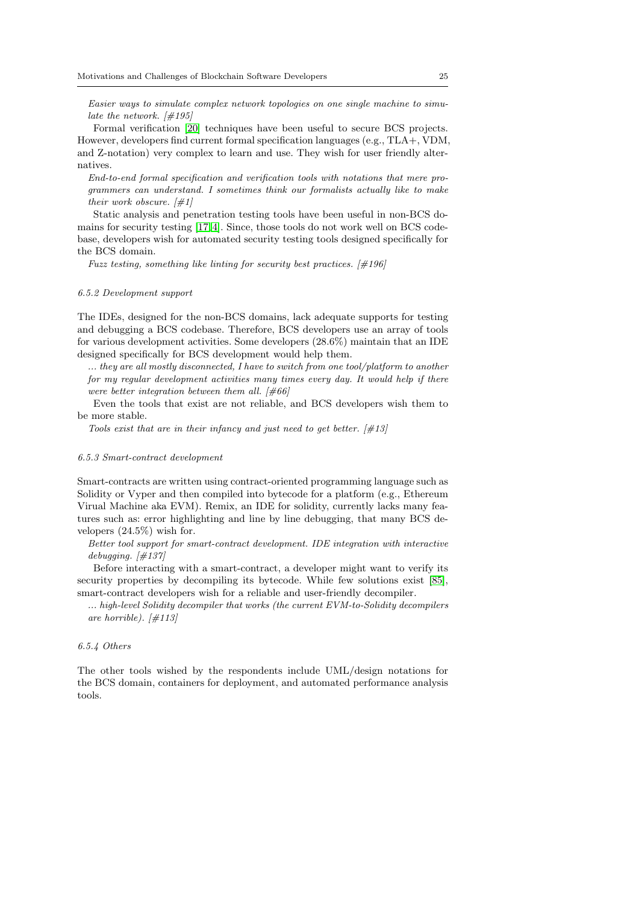Easier ways to simulate complex network topologies on one single machine to simulate the network.  $\left[\#195\right]$ 

Formal verification [\[20\]](#page-30-16) techniques have been useful to secure BCS projects. However, developers find current formal specification languages (e.g., TLA+, VDM, and Z-notation) very complex to learn and use. They wish for user friendly alternatives.

End-to-end formal specification and verification tools with notations that mere programmers can understand. I sometimes think our formalists actually like to make their work obscure.  $[\#1]$ 

Static analysis and penetration testing tools have been useful in non-BCS domains for security testing [\[17,](#page-30-17)[4\]](#page-30-18). Since, those tools do not work well on BCS codebase, developers wish for automated security testing tools designed specifically for the BCS domain.

Fuzz testing, something like linting for security best practices. [#196]

### 6.5.2 Development support

The IDEs, designed for the non-BCS domains, lack adequate supports for testing and debugging a BCS codebase. Therefore, BCS developers use an array of tools for various development activities. Some developers (28.6%) maintain that an IDE designed specifically for BCS development would help them.

... they are all mostly disconnected, I have to switch from one tool/platform to another for my regular development activities many times every day. It would help if there were better integration between them all.  $[\text{\#66}]$ 

Even the tools that exist are not reliable, and BCS developers wish them to be more stable.

Tools exist that are in their infancy and just need to get better.  $[\#13]$ 

#### <span id="page-24-0"></span>6.5.3 Smart-contract development

Smart-contracts are written using contract-oriented programming language such as Solidity or Vyper and then compiled into bytecode for a platform (e.g., Ethereum Virual Machine aka EVM). Remix, an IDE for solidity, currently lacks many features such as: error highlighting and line by line debugging, that many BCS developers (24.5%) wish for.

Better tool support for smart-contract development. IDE integration with interactive debugging.  $[\#137]$ 

Before interacting with a smart-contract, a developer might want to verify its security properties by decompiling its bytecode. While few solutions exist [\[85\]](#page-33-18), smart-contract developers wish for a reliable and user-friendly decompiler.

... high-level Solidity decompiler that works (the current EVM-to-Solidity decompilers are horrible).  $[\#113]$ 

### 6.5.4 Others

The other tools wished by the respondents include UML/design notations for the BCS domain, containers for deployment, and automated performance analysis tools.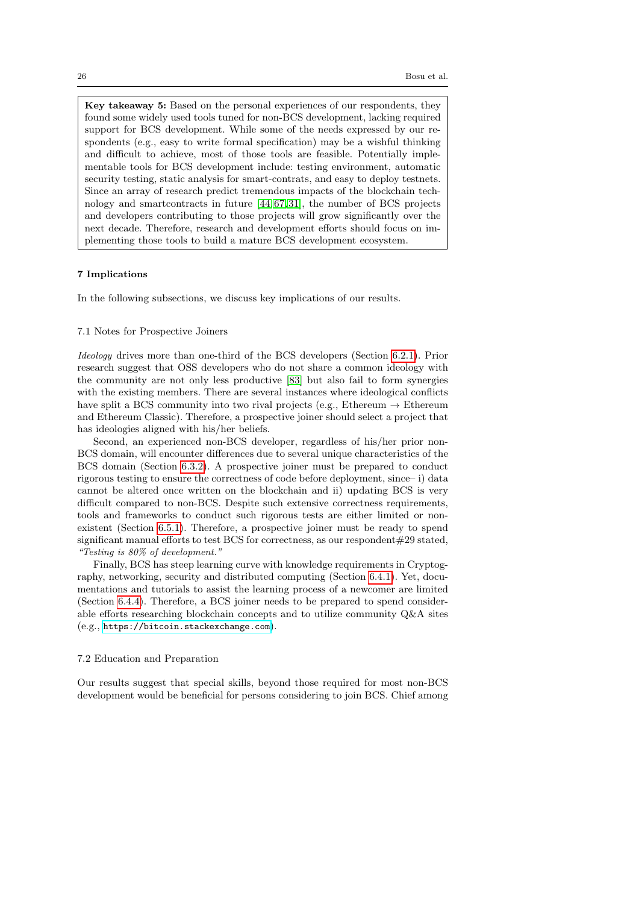Key takeaway 5: Based on the personal experiences of our respondents, they found some widely used tools tuned for non-BCS development, lacking required support for BCS development. While some of the needs expressed by our respondents (e.g., easy to write formal specification) may be a wishful thinking and difficult to achieve, most of those tools are feasible. Potentially implementable tools for BCS development include: testing environment, automatic security testing, static analysis for smart-contrats, and easy to deploy testnets. Since an array of research predict tremendous impacts of the blockchain technology and smartcontracts in future [\[44,](#page-31-18) [67,](#page-32-13)[31\]](#page-31-19), the number of BCS projects and developers contributing to those projects will grow significantly over the next decade. Therefore, research and development efforts should focus on implementing those tools to build a mature BCS development ecosystem.

# <span id="page-25-0"></span>7 Implications

In the following subsections, we discuss key implications of our results.

#### 7.1 Notes for Prospective Joiners

Ideology drives more than one-third of the BCS developers (Section [6.2.1\)](#page-14-2). Prior research suggest that OSS developers who do not share a common ideology with the community are not only less productive [\[83\]](#page-33-5) but also fail to form synergies with the existing members. There are several instances where ideological conflicts have split a BCS community into two rival projects (e.g., Ethereum  $\rightarrow$  Ethereum and Ethereum Classic). Therefore, a prospective joiner should select a project that has ideologies aligned with his/her beliefs.

Second, an experienced non-BCS developer, regardless of his/her prior non-BCS domain, will encounter differences due to several unique characteristics of the BCS domain (Section [6.3.2\)](#page-16-2). A prospective joiner must be prepared to conduct rigorous testing to ensure the correctness of code before deployment, since– i) data cannot be altered once written on the blockchain and ii) updating BCS is very difficult compared to non-BCS. Despite such extensive correctness requirements, tools and frameworks to conduct such rigorous tests are either limited or nonexistent (Section [6.5.1\)](#page-23-1). Therefore, a prospective joiner must be ready to spend significant manual efforts to test BCS for correctness, as our respondent#29 stated, "Testing is 80% of development."

Finally, BCS has steep learning curve with knowledge requirements in Cryptography, networking, security and distributed computing (Section [6.4.1\)](#page-21-1). Yet, documentations and tutorials to assist the learning process of a newcomer are limited (Section [6.4.4\)](#page-22-0). Therefore, a BCS joiner needs to be prepared to spend considerable efforts researching blockchain concepts and to utilize community Q&A sites (e.g., <https://bitcoin.stackexchange.com>).

#### 7.2 Education and Preparation

Our results suggest that special skills, beyond those required for most non-BCS development would be beneficial for persons considering to join BCS. Chief among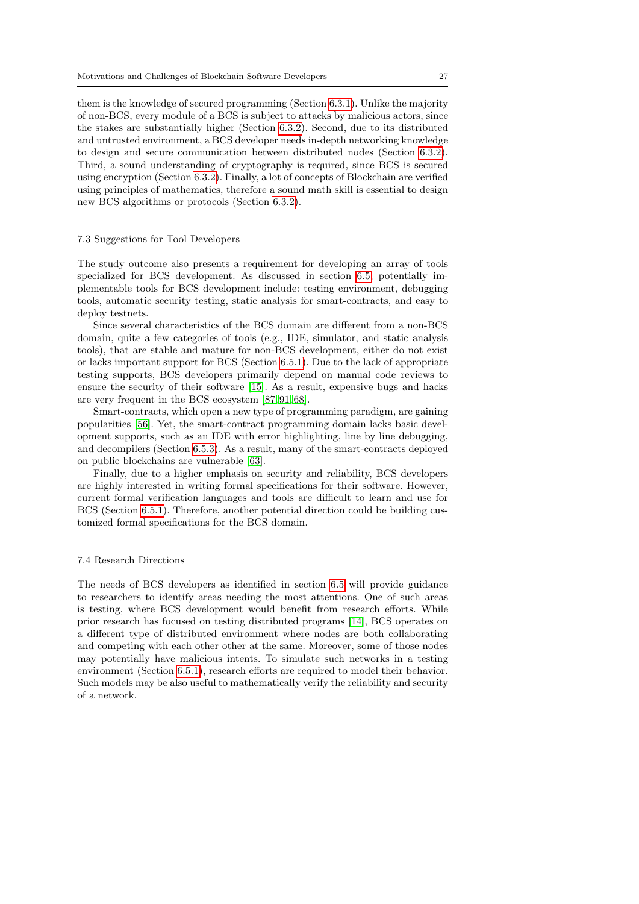them is the knowledge of secured programming (Section [6.3.1\)](#page-16-1). Unlike the majority of non-BCS, every module of a BCS is subject to attacks by malicious actors, since the stakes are substantially higher (Section [6.3.2\)](#page-16-2). Second, due to its distributed and untrusted environment, a BCS developer needs in-depth networking knowledge to design and secure communication between distributed nodes (Section [6.3.2\)](#page-16-2). Third, a sound understanding of cryptography is required, since BCS is secured using encryption (Section [6.3.2\)](#page-16-2). Finally, a lot of concepts of Blockchain are verified using principles of mathematics, therefore a sound math skill is essential to design new BCS algorithms or protocols (Section [6.3.2\)](#page-16-2).

### 7.3 Suggestions for Tool Developers

The study outcome also presents a requirement for developing an array of tools specialized for BCS development. As discussed in section [6.5,](#page-23-2) potentially implementable tools for BCS development include: testing environment, debugging tools, automatic security testing, static analysis for smart-contracts, and easy to deploy testnets.

Since several characteristics of the BCS domain are different from a non-BCS domain, quite a few categories of tools (e.g., IDE, simulator, and static analysis tools), that are stable and mature for non-BCS development, either do not exist or lacks important support for BCS (Section [6.5.1\)](#page-23-1). Due to the lack of appropriate testing supports, BCS developers primarily depend on manual code reviews to ensure the security of their software [\[15\]](#page-30-1). As a result, expensive bugs and hacks are very frequent in the BCS ecosystem [\[87,](#page-33-19) [91,](#page-33-20)[68\]](#page-32-2).

Smart-contracts, which open a new type of programming paradigm, are gaining popularities [\[56\]](#page-32-14). Yet, the smart-contract programming domain lacks basic development supports, such as an IDE with error highlighting, line by line debugging, and decompilers (Section [6.5.3\)](#page-24-0). As a result, many of the smart-contracts deployed on public blockchains are vulnerable [\[63\]](#page-32-15).

Finally, due to a higher emphasis on security and reliability, BCS developers are highly interested in writing formal specifications for their software. However, current formal verification languages and tools are difficult to learn and use for BCS (Section [6.5.1\)](#page-23-1). Therefore, another potential direction could be building customized formal specifications for the BCS domain.

# 7.4 Research Directions

The needs of BCS developers as identified in section [6.5](#page-23-2) will provide guidance to researchers to identify areas needing the most attentions. One of such areas is testing, where BCS development would benefit from research efforts. While prior research has focused on testing distributed programs [\[14\]](#page-30-19), BCS operates on a different type of distributed environment where nodes are both collaborating and competing with each other other at the same. Moreover, some of those nodes may potentially have malicious intents. To simulate such networks in a testing environment (Section [6.5.1\)](#page-23-1), research efforts are required to model their behavior. Such models may be also useful to mathematically verify the reliability and security of a network.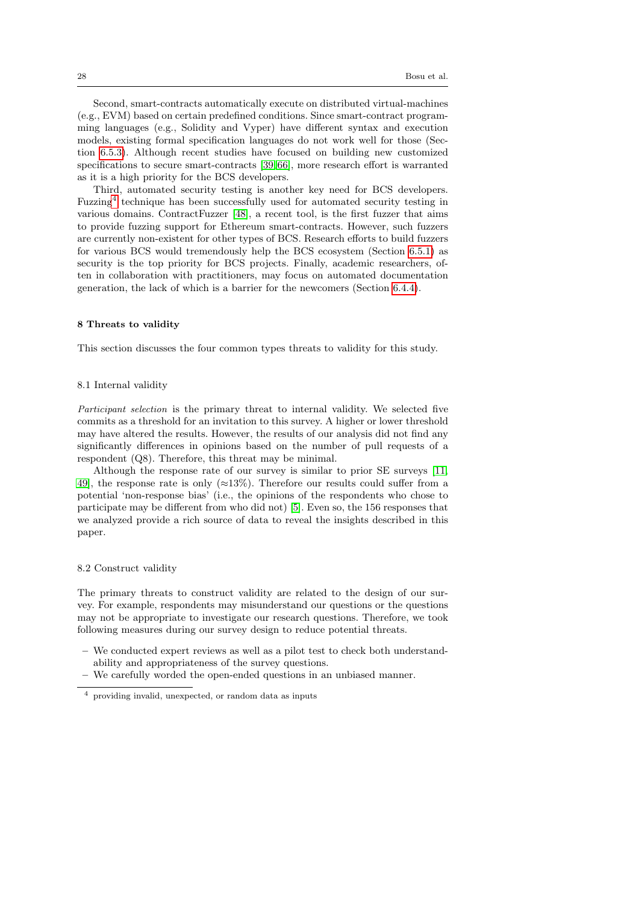Second, smart-contracts automatically execute on distributed virtual-machines (e.g., EVM) based on certain predefined conditions. Since smart-contract programming languages (e.g., Solidity and Vyper) have different syntax and execution models, existing formal specification languages do not work well for those (Section [6.5.3\)](#page-24-0). Although recent studies have focused on building new customized specifications to secure smart-contracts [\[39,](#page-31-20) [66\]](#page-32-16), more research effort is warranted as it is a high priority for the BCS developers.

Third, automated security testing is another key need for BCS developers. Fuzzing<sup>[4](#page-27-1)</sup> technique has been successfully used for automated security testing in various domains. ContractFuzzer [\[48\]](#page-32-17), a recent tool, is the first fuzzer that aims to provide fuzzing support for Ethereum smart-contracts. However, such fuzzers are currently non-existent for other types of BCS. Research efforts to build fuzzers for various BCS would tremendously help the BCS ecosystem (Section [6.5.1\)](#page-23-1) as security is the top priority for BCS projects. Finally, academic researchers, often in collaboration with practitioners, may focus on automated documentation generation, the lack of which is a barrier for the newcomers (Section [6.4.4\)](#page-22-0).

#### <span id="page-27-0"></span>8 Threats to validity

This section discusses the four common types threats to validity for this study.

#### 8.1 Internal validity

Participant selection is the primary threat to internal validity. We selected five commits as a threshold for an invitation to this survey. A higher or lower threshold may have altered the results. However, the results of our analysis did not find any significantly differences in opinions based on the number of pull requests of a respondent (Q8). Therefore, this threat may be minimal.

Although the response rate of our survey is similar to prior SE surveys [\[11,](#page-30-9) [49\]](#page-32-18), the response rate is only  $(\approx 13\%)$ . Therefore our results could suffer from a potential 'non-response bias' (i.e., the opinions of the respondents who chose to participate may be different from who did not) [\[5\]](#page-30-20). Even so, the 156 responses that we analyzed provide a rich source of data to reveal the insights described in this paper.

# 8.2 Construct validity

The primary threats to construct validity are related to the design of our survey. For example, respondents may misunderstand our questions or the questions may not be appropriate to investigate our research questions. Therefore, we took following measures during our survey design to reduce potential threats.

- We conducted expert reviews as well as a pilot test to check both understandability and appropriateness of the survey questions.
- We carefully worded the open-ended questions in an unbiased manner.

<span id="page-27-1"></span><sup>4</sup> providing invalid, unexpected, or random data as inputs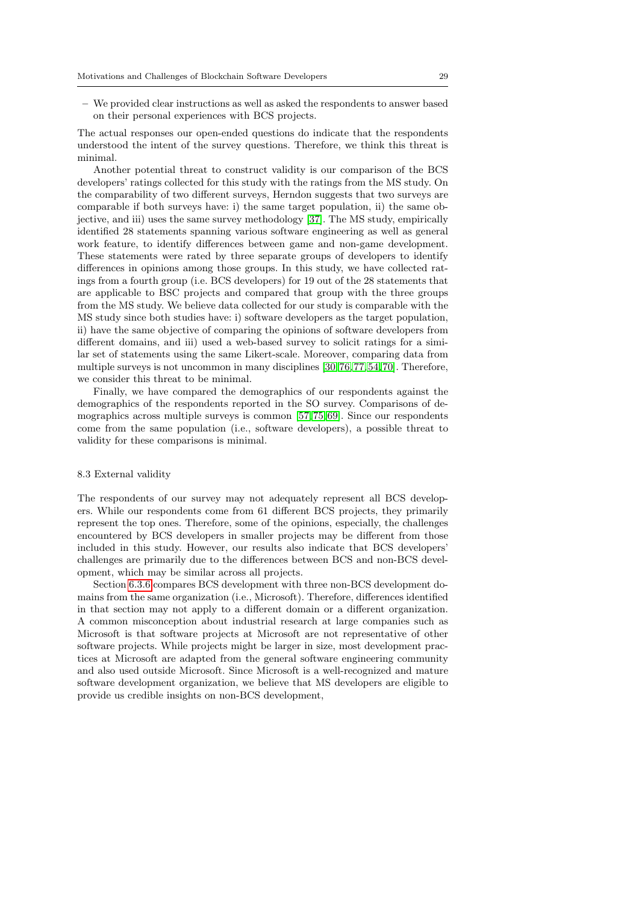– We provided clear instructions as well as asked the respondents to answer based on their personal experiences with BCS projects.

The actual responses our open-ended questions do indicate that the respondents understood the intent of the survey questions. Therefore, we think this threat is minimal.

Another potential threat to construct validity is our comparison of the BCS developers' ratings collected for this study with the ratings from the MS study. On the comparability of two different surveys, Herndon suggests that two surveys are comparable if both surveys have: i) the same target population, ii) the same objective, and iii) uses the same survey methodology [\[37\]](#page-31-21). The MS study, empirically identified 28 statements spanning various software engineering as well as general work feature, to identify differences between game and non-game development. These statements were rated by three separate groups of developers to identify differences in opinions among those groups. In this study, we have collected ratings from a fourth group (i.e. BCS developers) for 19 out of the 28 statements that are applicable to BSC projects and compared that group with the three groups from the MS study. We believe data collected for our study is comparable with the MS study since both studies have: i) software developers as the target population, ii) have the same objective of comparing the opinions of software developers from different domains, and iii) used a web-based survey to solicit ratings for a similar set of statements using the same Likert-scale. Moreover, comparing data from multiple surveys is not uncommon in many disciplines [\[30,](#page-31-22) [76,](#page-33-21) [77,](#page-33-22)[54,](#page-32-19) [70\]](#page-33-23). Therefore, we consider this threat to be minimal.

Finally, we have compared the demographics of our respondents against the demographics of the respondents reported in the SO survey. Comparisons of demographics across multiple surveys is common [\[57,](#page-32-20) [75,](#page-33-24) [69\]](#page-32-21). Since our respondents come from the same population (i.e., software developers), a possible threat to validity for these comparisons is minimal.

# 8.3 External validity

The respondents of our survey may not adequately represent all BCS developers. While our respondents come from 61 different BCS projects, they primarily represent the top ones. Therefore, some of the opinions, especially, the challenges encountered by BCS developers in smaller projects may be different from those included in this study. However, our results also indicate that BCS developers' challenges are primarily due to the differences between BCS and non-BCS development, which may be similar across all projects.

Section [6.3.6](#page-19-0) compares BCS development with three non-BCS development domains from the same organization (i.e., Microsoft). Therefore, differences identified in that section may not apply to a different domain or a different organization. A common misconception about industrial research at large companies such as Microsoft is that software projects at Microsoft are not representative of other software projects. While projects might be larger in size, most development practices at Microsoft are adapted from the general software engineering community and also used outside Microsoft. Since Microsoft is a well-recognized and mature software development organization, we believe that MS developers are eligible to provide us credible insights on non-BCS development,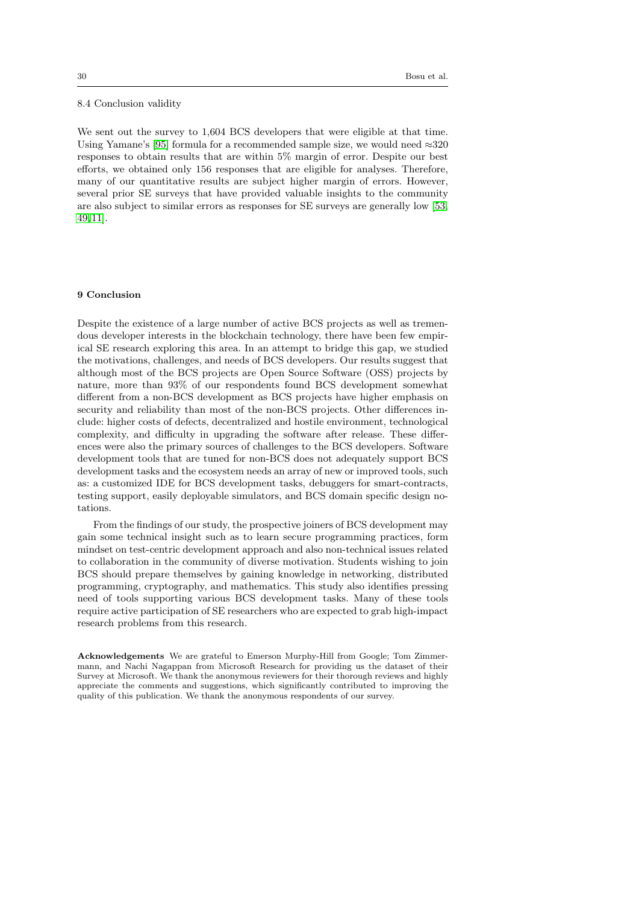#### 8.4 Conclusion validity

We sent out the survey to 1,604 BCS developers that were eligible at that time. Using Yamane's [\[95\]](#page-33-25) formula for a recommended sample size, we would need  $\approx 320$ responses to obtain results that are within 5% margin of error. Despite our best efforts, we obtained only 156 responses that are eligible for analyses. Therefore, many of our quantitative results are subject higher margin of errors. However, several prior SE surveys that have provided valuable insights to the community are also subject to similar errors as responses for SE surveys are generally low [\[53,](#page-32-7) [49,](#page-32-18) [11\]](#page-30-9).

### <span id="page-29-0"></span>9 Conclusion

Despite the existence of a large number of active BCS projects as well as tremendous developer interests in the blockchain technology, there have been few empirical SE research exploring this area. In an attempt to bridge this gap, we studied the motivations, challenges, and needs of BCS developers. Our results suggest that although most of the BCS projects are Open Source Software (OSS) projects by nature, more than 93% of our respondents found BCS development somewhat different from a non-BCS development as BCS projects have higher emphasis on security and reliability than most of the non-BCS projects. Other differences include: higher costs of defects, decentralized and hostile environment, technological complexity, and difficulty in upgrading the software after release. These differences were also the primary sources of challenges to the BCS developers. Software development tools that are tuned for non-BCS does not adequately support BCS development tasks and the ecosystem needs an array of new or improved tools, such as: a customized IDE for BCS development tasks, debuggers for smart-contracts, testing support, easily deployable simulators, and BCS domain specific design notations.

From the findings of our study, the prospective joiners of BCS development may gain some technical insight such as to learn secure programming practices, form mindset on test-centric development approach and also non-technical issues related to collaboration in the community of diverse motivation. Students wishing to join BCS should prepare themselves by gaining knowledge in networking, distributed programming, cryptography, and mathematics. This study also identifies pressing need of tools supporting various BCS development tasks. Many of these tools require active participation of SE researchers who are expected to grab high-impact research problems from this research.

Acknowledgements We are grateful to Emerson Murphy-Hill from Google; Tom Zimmermann, and Nachi Nagappan from Microsoft Research for providing us the dataset of their Survey at Microsoft. We thank the anonymous reviewers for their thorough reviews and highly appreciate the comments and suggestions, which significantly contributed to improving the quality of this publication. We thank the anonymous respondents of our survey.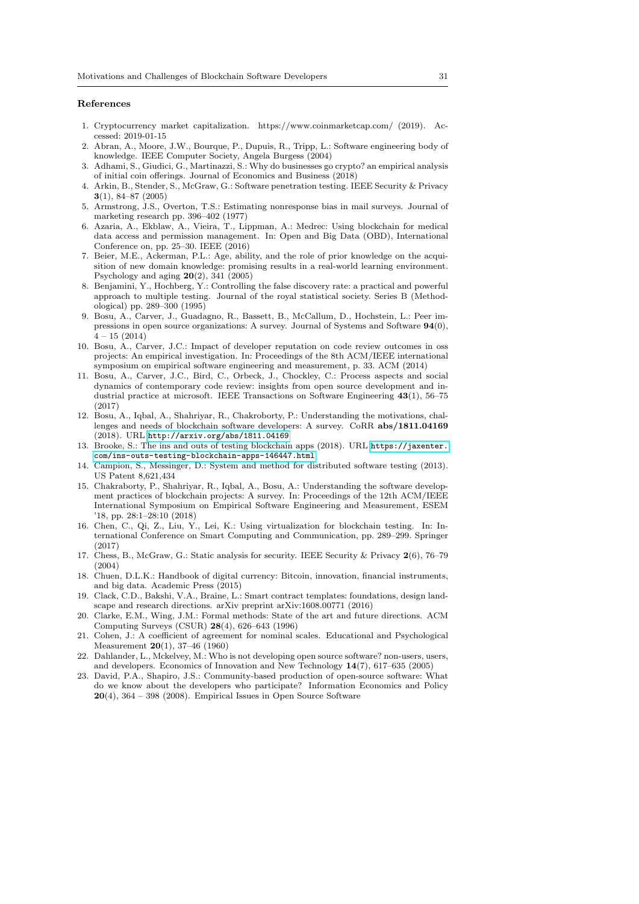#### References

- <span id="page-30-14"></span>1. Cryptocurrency market capitalization. https://www.coinmarketcap.com/ (2019). Accessed: 2019-01-15
- 2. Abran, A., Moore, J.W., Bourque, P., Dupuis, R., Tripp, L.: Software engineering body of knowledge. IEEE Computer Society, Angela Burgess (2004)
- <span id="page-30-6"></span>3. Adhami, S., Giudici, G., Martinazzi, S.: Why do businesses go crypto? an empirical analysis of initial coin offerings. Journal of Economics and Business (2018)
- <span id="page-30-18"></span>4. Arkin, B., Stender, S., McGraw, G.: Software penetration testing. IEEE Security & Privacy 3(1), 84–87 (2005)
- <span id="page-30-20"></span>5. Armstrong, J.S., Overton, T.S.: Estimating nonresponse bias in mail surveys. Journal of marketing research pp. 396–402 (1977)
- <span id="page-30-0"></span>6. Azaria, A., Ekblaw, A., Vieira, T., Lippman, A.: Medrec: Using blockchain for medical data access and permission management. In: Open and Big Data (OBD), International Conference on, pp. 25–30. IEEE (2016)
- <span id="page-30-12"></span>7. Beier, M.E., Ackerman, P.L.: Age, ability, and the role of prior knowledge on the acquisition of new domain knowledge: promising results in a real-world learning environment. Psychology and aging 20(2), 341 (2005)
- <span id="page-30-11"></span>8. Benjamini, Y., Hochberg, Y.: Controlling the false discovery rate: a practical and powerful approach to multiple testing. Journal of the royal statistical society. Series B (Methodological) pp. 289–300 (1995)
- <span id="page-30-10"></span>9. Bosu, A., Carver, J., Guadagno, R., Bassett, B., McCallum, D., Hochstein, L.: Peer impressions in open source organizations: A survey. Journal of Systems and Software 94(0),  $4 - 15 (2014)$
- <span id="page-30-13"></span>10. Bosu, A., Carver, J.C.: Impact of developer reputation on code review outcomes in oss projects: An empirical investigation. In: Proceedings of the 8th ACM/IEEE international symposium on empirical software engineering and measurement, p. 33. ACM (2014)
- <span id="page-30-9"></span>11. Bosu, A., Carver, J.C., Bird, C., Orbeck, J., Chockley, C.: Process aspects and social dynamics of contemporary code review: insights from open source development and industrial practice at microsoft. IEEE Transactions on Software Engineering 43(1), 56–75 (2017)
- 12. Bosu, A., Iqbal, A., Shahriyar, R., Chakroborty, P.: Understanding the motivations, challenges and needs of blockchain software developers: A survey. CoRR abs/1811.04169 (2018). URL <http://arxiv.org/abs/1811.04169>
- <span id="page-30-7"></span>13. Brooke, S.: The ins and outs of testing blockchain apps (2018). URL [https://jaxenter.](https://jaxenter.com/ins-outs-testing-blockchain-apps-146447.html) [com/ins-outs-testing-blockchain-apps-146447.html](https://jaxenter.com/ins-outs-testing-blockchain-apps-146447.html)
- <span id="page-30-19"></span>14. Campion, S., Messinger, D.: System and method for distributed software testing (2013). US Patent 8,621,434
- <span id="page-30-1"></span>15. Chakraborty, P., Shahriyar, R., Iqbal, A., Bosu, A.: Understanding the software development practices of blockchain projects: A survey. In: Proceedings of the 12th ACM/IEEE International Symposium on Empirical Software Engineering and Measurement, ESEM '18, pp. 28:1–28:10 (2018)
- <span id="page-30-15"></span>16. Chen, C., Qi, Z., Liu, Y., Lei, K.: Using virtualization for blockchain testing. In: International Conference on Smart Computing and Communication, pp. 289–299. Springer (2017)
- <span id="page-30-17"></span>17. Chess, B., McGraw, G.: Static analysis for security. IEEE Security & Privacy 2(6), 76–79 (2004)
- <span id="page-30-3"></span>18. Chuen, D.L.K.: Handbook of digital currency: Bitcoin, innovation, financial instruments, and big data. Academic Press (2015)
- <span id="page-30-8"></span>19. Clack, C.D., Bakshi, V.A., Braine, L.: Smart contract templates: foundations, design landscape and research directions. arXiv preprint arXiv:1608.00771 (2016)
- <span id="page-30-16"></span>20. Clarke, E.M., Wing, J.M.: Formal methods: State of the art and future directions. ACM Computing Surveys (CSUR) 28(4), 626–643 (1996)
- <span id="page-30-2"></span>21. Cohen, J.: A coefficient of agreement for nominal scales. Educational and Psychological Measurement 20(1), 37–46 (1960)
- <span id="page-30-5"></span>22. Dahlander, L., Mckelvey, M.: Who is not developing open source software? non-users, users, and developers. Economics of Innovation and New Technology 14(7), 617–635 (2005)
- <span id="page-30-4"></span>23. David, P.A., Shapiro, J.S.: Community-based production of open-source software: What do we know about the developers who participate? Information Economics and Policy  $20(4)$ , 364 – 398 (2008). Empirical Issues in Open Source Software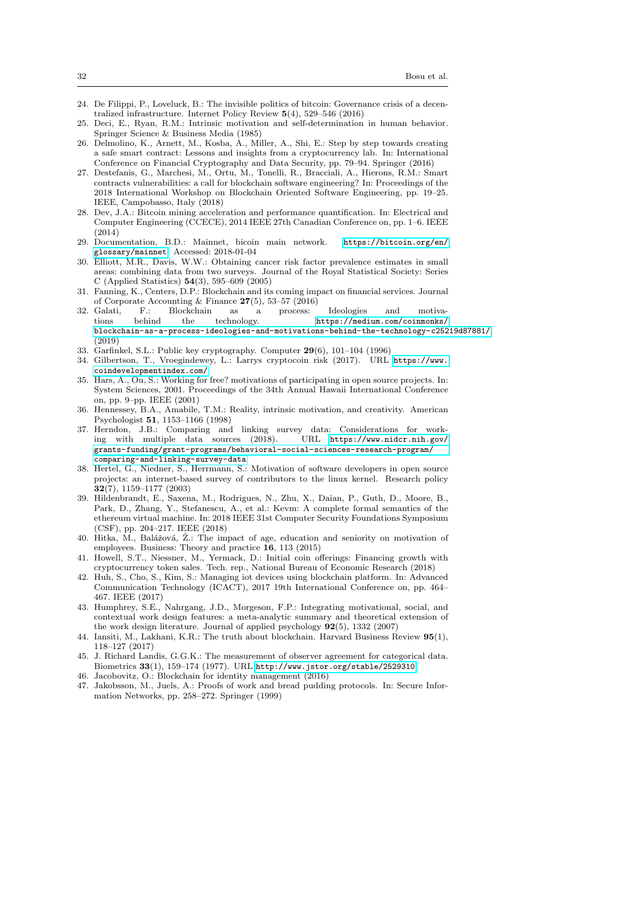- <span id="page-31-16"></span>24. De Filippi, P., Loveluck, B.: The invisible politics of bitcoin: Governance crisis of a decentralized infrastructure. Internet Policy Review 5(4), 529–546 (2016)
- <span id="page-31-10"></span>25. Deci, E., Ryan, R.M.: Intrinsic motivation and self-determination in human behavior. Springer Science & Business Media (1985)
- <span id="page-31-0"></span>26. Delmolino, K., Arnett, M., Kosba, A., Miller, A., Shi, E.: Step by step towards creating a safe smart contract: Lessons and insights from a cryptocurrency lab. In: International Conference on Financial Cryptography and Data Security, pp. 79–94. Springer (2016)
- <span id="page-31-3"></span>27. Destefanis, G., Marchesi, M., Ortu, M., Tonelli, R., Bracciali, A., Hierons, R.M.: Smart contracts vulnerabilities: a call for blockchain software engineering? In: Proceedings of the 2018 International Workshop on Blockchain Oriented Software Engineering, pp. 19–25. IEEE, Campobasso, Italy (2018)
- 28. Dev, J.A.: Bitcoin mining acceleration and performance quantification. In: Electrical and Computer Engineering (CCECE), 2014 IEEE 27th Canadian Conference on, pp. 1–6. IEEE  $(2014)$
- <span id="page-31-17"></span>29. Documentation, B.D.: Mainnet, bicoin main network. [https://bitcoin.org/en/](https://bitcoin.org/en/glossary/mainnet) [glossary/mainnet](https://bitcoin.org/en/glossary/mainnet). Accessed: 2018-01-04
- <span id="page-31-22"></span>30. Elliott, M.R., Davis, W.W.: Obtaining cancer risk factor prevalence estimates in small areas: combining data from two surveys. Journal of the Royal Statistical Society: Series C (Applied Statistics) 54(3), 595–609 (2005)
- <span id="page-31-19"></span>31. Fanning, K., Centers, D.P.: Blockchain and its coming impact on financial services. Journal of Corporate Accounting & Finance  $27(5)$ , 53–57 (2016)<br>Galati. F.: Blockchain as a process:
- <span id="page-31-8"></span>32. Galati, F.: Blockchain as a process: Ideologies and motiva-<br>tions behind the technology. https://medium.com/coinmonks/ tions behind the technology. [https://medium.com/coinmonks/](https://medium.com/coinmonks/blockchain-as-a-process-ideologies-and-motivations-behind-the-technology-c25219d87881/) [blockchain-as-a-process-ideologies-and-motivations-behind-the-technology-c25219d87881/](https://medium.com/coinmonks/blockchain-as-a-process-ideologies-and-motivations-behind-the-technology-c25219d87881/) (2019)
- <span id="page-31-5"></span>33. Garfinkel, S.L.: Public key cryptography. Computer 29(6), 101–104 (1996)
- <span id="page-31-12"></span>34. Gilbertson, T., Vroegindewey, L.: Larrys cryptocoin risk (2017). URL [https://www.](https://www.coindevelopmentindex.com/) [coindevelopmentindex.com/](https://www.coindevelopmentindex.com/)
- <span id="page-31-7"></span>35. Hars, A., Ou, S.: Working for free? motivations of participating in open source projects. In: System Sciences, 2001. Proceedings of the 34th Annual Hawaii International Conference on, pp. 9–pp. IEEE (2001)
- <span id="page-31-14"></span>36. Hennessey, B.A., Amabile, T.M.: Reality, intrinsic motivation, and creativity. American Psychologist 51, 1153–1166 (1998)
- <span id="page-31-21"></span>37. Herndon, J.B.: Comparing and linking survey data: Considerations for work-<br>ing with multiple data sources (2018). URL https://www.nidcr.nih.gov/ ing with multiple data sources  $(2018)$ . [grants-funding/grant-programs/behavioral-social-sciences-research-program/](https://www.nidcr.nih.gov/grants-funding/grant-programs/behavioral-social-sciences-research-program/comparing-and-linking-survey-data) [comparing-and-linking-survey-data](https://www.nidcr.nih.gov/grants-funding/grant-programs/behavioral-social-sciences-research-program/comparing-and-linking-survey-data)
- <span id="page-31-9"></span>38. Hertel, G., Niedner, S., Herrmann, S.: Motivation of software developers in open source projects: an internet-based survey of contributors to the linux kernel. Research policy 32(7), 1159–1177 (2003)
- <span id="page-31-20"></span>39. Hildenbrandt, E., Saxena, M., Rodrigues, N., Zhu, X., Daian, P., Guth, D., Moore, B., Park, D., Zhang, Y., Stefanescu, A., et al.: Kevm: A complete formal semantics of the ethereum virtual machine. In: 2018 IEEE 31st Computer Security Foundations Symposium (CSF), pp. 204–217. IEEE (2018)
- <span id="page-31-13"></span>40. Hitka, M., Balážová, Ž.: The impact of age, education and seniority on motivation of employees. Business: Theory and practice 16, 113 (2015)
- <span id="page-31-15"></span>41. Howell, S.T., Niessner, M., Yermack, D.: Initial coin offerings: Financing growth with cryptocurrency token sales. Tech. rep., National Bureau of Economic Research (2018)
- <span id="page-31-1"></span>42. Huh, S., Cho, S., Kim, S.: Managing iot devices using blockchain platform. In: Advanced Communication Technology (ICACT), 2017 19th International Conference on, pp. 464– 467. IEEE (2017)
- <span id="page-31-6"></span>43. Humphrey, S.E., Nahrgang, J.D., Morgeson, F.P.: Integrating motivational, social, and contextual work design features: a meta-analytic summary and theoretical extension of the work design literature. Journal of applied psychology 92(5), 1332 (2007)
- <span id="page-31-18"></span>44. Iansiti, M., Lakhani, K.R.: The truth about blockchain. Harvard Business Review 95(1), 118–127 (2017)
- <span id="page-31-11"></span>45. J. Richard Landis, G.G.K.: The measurement of observer agreement for categorical data. Biometrics 33(1), 159–174 (1977). URL <http://www.jstor.org/stable/2529310>
- <span id="page-31-2"></span>46. Jacobovitz, O.: Blockchain for identity management (2016)
- <span id="page-31-4"></span>47. Jakobsson, M., Juels, A.: Proofs of work and bread pudding protocols. In: Secure Information Networks, pp. 258–272. Springer (1999)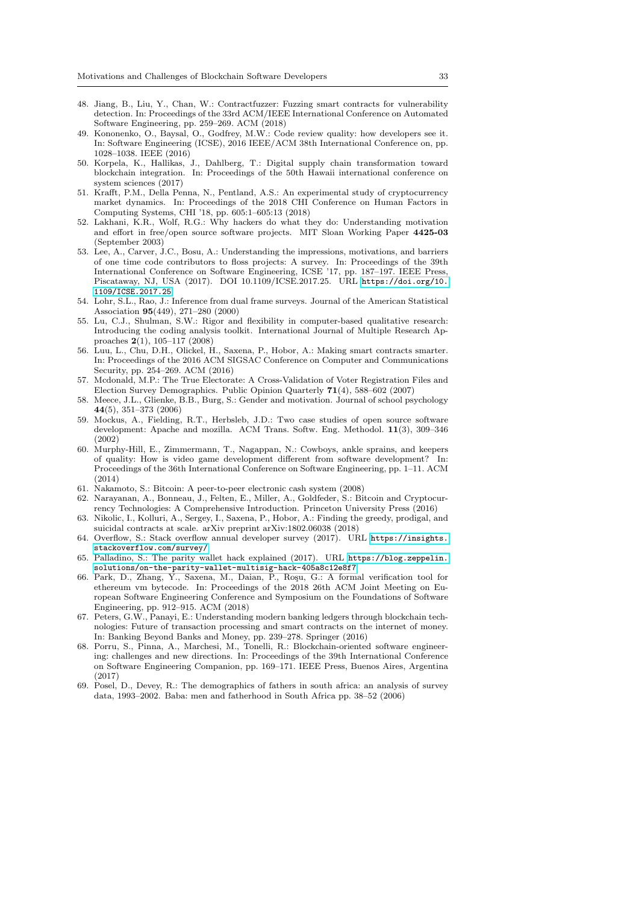- <span id="page-32-17"></span>48. Jiang, B., Liu, Y., Chan, W.: Contractfuzzer: Fuzzing smart contracts for vulnerability detection. In: Proceedings of the 33rd ACM/IEEE International Conference on Automated Software Engineering, pp. 259–269. ACM (2018)
- <span id="page-32-18"></span>49. Kononenko, O., Baysal, O., Godfrey, M.W.: Code review quality: how developers see it. In: Software Engineering (ICSE), 2016 IEEE/ACM 38th International Conference on, pp. 1028–1038. IEEE (2016)
- <span id="page-32-1"></span>50. Korpela, K., Hallikas, J., Dahlberg, T.: Digital supply chain transformation toward blockchain integration. In: Proceedings of the 50th Hawaii international conference on system sciences (2017)
- <span id="page-32-8"></span>51. Krafft, P.M., Della Penna, N., Pentland, A.S.: An experimental study of cryptocurrency market dynamics. In: Proceedings of the 2018 CHI Conference on Human Factors in Computing Systems, CHI '18, pp. 605:1–605:13 (2018)
- <span id="page-32-5"></span>52. Lakhani, K.R., Wolf, R.G.: Why hackers do what they do: Understanding motivation and effort in free/open source software projects. MIT Sloan Working Paper 4425-03 (September 2003)
- <span id="page-32-7"></span>53. Lee, A., Carver, J.C., Bosu, A.: Understanding the impressions, motivations, and barriers of one time code contributors to floss projects: A survey. In: Proceedings of the 39th International Conference on Software Engineering, ICSE '17, pp. 187–197. IEEE Press, Piscataway, NJ, USA (2017). DOI 10.1109/ICSE.2017.25. URL [https://doi.org/10.](https://doi.org/10.1109/ICSE.2017.25) [1109/ICSE.2017.25](https://doi.org/10.1109/ICSE.2017.25)
- <span id="page-32-19"></span>54. Lohr, S.L., Rao, J.: Inference from dual frame surveys. Journal of the American Statistical Association 95(449), 271–280 (2000)
- <span id="page-32-10"></span>55. Lu, C.J., Shulman, S.W.: Rigor and flexibility in computer-based qualitative research: Introducing the coding analysis toolkit. International Journal of Multiple Research Approaches 2(1), 105–117 (2008)
- <span id="page-32-14"></span>56. Luu, L., Chu, D.H., Olickel, H., Saxena, P., Hobor, A.: Making smart contracts smarter. In: Proceedings of the 2016 ACM SIGSAC Conference on Computer and Communications Security, pp. 254–269. ACM (2016)
- <span id="page-32-20"></span>57. Mcdonald, M.P.: The True Electorate: A Cross-Validation of Voter Registration Files and Election Survey Demographics. Public Opinion Quarterly 71(4), 588–602 (2007)
- <span id="page-32-11"></span>58. Meece, J.L., Glienke, B.B., Burg, S.: Gender and motivation. Journal of school psychology 44(5), 351–373 (2006)
- <span id="page-32-6"></span>59. Mockus, A., Fielding, R.T., Herbsleb, J.D.: Two case studies of open source software development: Apache and mozilla. ACM Trans. Softw. Eng. Methodol. 11(3), 309–346 (2002)
- <span id="page-32-4"></span>60. Murphy-Hill, E., Zimmermann, T., Nagappan, N.: Cowboys, ankle sprains, and keepers of quality: How is video game development different from software development? In: Proceedings of the 36th International Conference on Software Engineering, pp. 1–11. ACM (2014)
- <span id="page-32-0"></span>61. Nakamoto, S.: Bitcoin: A peer-to-peer electronic cash system (2008)
- <span id="page-32-3"></span>62. Narayanan, A., Bonneau, J., Felten, E., Miller, A., Goldfeder, S.: Bitcoin and Cryptocurrency Technologies: A Comprehensive Introduction. Princeton University Press (2016)
- <span id="page-32-15"></span>63. Nikolic, I., Kolluri, A., Sergey, I., Saxena, P., Hobor, A.: Finding the greedy, prodigal, and suicidal contracts at scale. arXiv preprint arXiv:1802.06038 (2018)
- <span id="page-32-9"></span>64. Overflow, S.: Stack overflow annual developer survey (2017). URL [https://insights.](https://insights.stackoverflow.com/survey/) [stackoverflow.com/survey/](https://insights.stackoverflow.com/survey/)
- <span id="page-32-12"></span>65. Palladino, S.: The parity wallet hack explained (2017). URL [https://blog.zeppelin.](https://blog.zeppelin.solutions/on-the-parity-wallet-multisig-hack-405a8c12e8f7) [solutions/on-the-parity-wallet-multisig-hack-405a8c12e8f7](https://blog.zeppelin.solutions/on-the-parity-wallet-multisig-hack-405a8c12e8f7)
- <span id="page-32-16"></span>66. Park, D., Zhang, Y., Saxena, M., Daian, P., Roşu, G.: A formal verification tool for ethereum vm bytecode. In: Proceedings of the 2018 26th ACM Joint Meeting on European Software Engineering Conference and Symposium on the Foundations of Software Engineering, pp. 912–915. ACM (2018)
- <span id="page-32-13"></span>67. Peters, G.W., Panayi, E.: Understanding modern banking ledgers through blockchain technologies: Future of transaction processing and smart contracts on the internet of money. In: Banking Beyond Banks and Money, pp. 239–278. Springer (2016)
- <span id="page-32-2"></span>68. Porru, S., Pinna, A., Marchesi, M., Tonelli, R.: Blockchain-oriented software engineering: challenges and new directions. In: Proceedings of the 39th International Conference on Software Engineering Companion, pp. 169–171. IEEE Press, Buenos Aires, Argentina (2017)
- <span id="page-32-21"></span>69. Posel, D., Devey, R.: The demographics of fathers in south africa: an analysis of survey data, 1993–2002. Baba: men and fatherhood in South Africa pp. 38–52 (2006)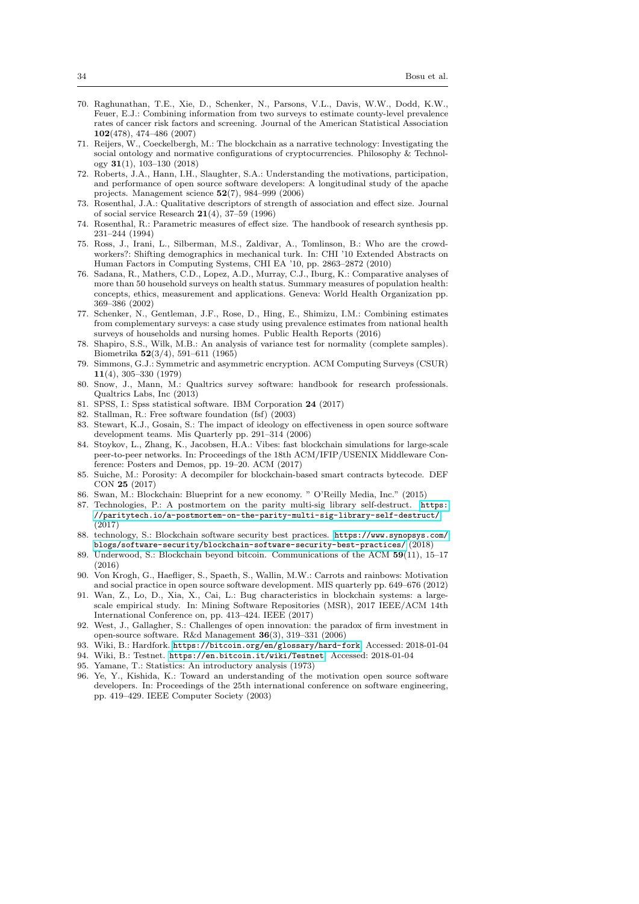- <span id="page-33-23"></span>70. Raghunathan, T.E., Xie, D., Schenker, N., Parsons, V.L., Davis, W.W., Dodd, K.W., Feuer, E.J.: Combining information from two surveys to estimate county-level prevalence rates of cancer risk factors and screening. Journal of the American Statistical Association 102(478), 474–486 (2007)
- <span id="page-33-3"></span>71. Reijers, W., Coeckelbergh, M.: The blockchain as a narrative technology: Investigating the social ontology and normative configurations of cryptocurrencies. Philosophy & Technology 31(1), 103–130 (2018)
- <span id="page-33-4"></span>72. Roberts, J.A., Hann, I.H., Slaughter, S.A.: Understanding the motivations, participation, and performance of open source software developers: A longitudinal study of the apache projects. Management science 52(7), 984–999 (2006)
- <span id="page-33-15"></span>73. Rosenthal, J.A.: Qualitative descriptors of strength of association and effect size. Journal of social service Research 21(4), 37–59 (1996)
- <span id="page-33-14"></span>74. Rosenthal, R.: Parametric measures of effect size. The handbook of research synthesis pp. 231–244 (1994)
- <span id="page-33-24"></span>75. Ross, J., Irani, L., Silberman, M.S., Zaldivar, A., Tomlinson, B.: Who are the crowdworkers?: Shifting demographics in mechanical turk. In: CHI '10 Extended Abstracts on Human Factors in Computing Systems, CHI EA '10, pp. 2863–2872 (2010)
- <span id="page-33-21"></span>76. Sadana, R., Mathers, C.D., Lopez, A.D., Murray, C.J., Iburg, K.: Comparative analyses of more than 50 household surveys on health status. Summary measures of population health: concepts, ethics, measurement and applications. Geneva: World Health Organization pp. 369–386 (2002)
- <span id="page-33-22"></span>77. Schenker, N., Gentleman, J.F., Rose, D., Hing, E., Shimizu, I.M.: Combining estimates from complementary surveys: a case study using prevalence estimates from national health surveys of households and nursing homes. Public Health Reports (2016)
- <span id="page-33-13"></span>78. Shapiro, S.S., Wilk, M.B.: An analysis of variance test for normality (complete samples). Biometrika 52(3/4), 591–611 (1965)
- <span id="page-33-2"></span>79. Simmons, G.J.: Symmetric and asymmetric encryption. ACM Computing Surveys (CSUR) 11(4), 305–330 (1979)
- <span id="page-33-9"></span>80. Snow, J., Mann, M.: Qualtrics survey software: handbook for research professionals. Qualtrics Labs, Inc (2013)
- <span id="page-33-10"></span>81. SPSS, I.: Spss statistical software. IBM Corporation 24 (2017)
- <span id="page-33-6"></span>82. Stallman, R.: Free software foundation (fsf) (2003)
- <span id="page-33-5"></span>83. Stewart, K.J., Gosain, S.: The impact of ideology on effectiveness in open source software development teams. Mis Quarterly pp. 291–314 (2006)
- <span id="page-33-17"></span>84. Stoykov, L., Zhang, K., Jacobsen, H.A.: Vibes: fast blockchain simulations for large-scale peer-to-peer networks. In: Proceedings of the 18th ACM/IFIP/USENIX Middleware Conference: Posters and Demos, pp. 19–20. ACM (2017)
- <span id="page-33-18"></span>85. Suiche, M.: Porosity: A decompiler for blockchain-based smart contracts bytecode. DEF CON 25 (2017)
- <span id="page-33-0"></span>86. Swan, M.: Blockchain: Blueprint for a new economy. " O'Reilly Media, Inc." (2015)
- <span id="page-33-19"></span>87. Technologies, P.: A postmortem on the parity multi-sig library self-destruct. [https:](https://paritytech.io/a-postmortem-on-the-parity-multi-sig-library-self-destruct/) [//paritytech.io/a-postmortem-on-the-parity-multi-sig-library-self-destruct/](https://paritytech.io/a-postmortem-on-the-parity-multi-sig-library-self-destruct/) (2017)
- 88. technology, S.: Blockchain software security best practices. [https://www.synopsys.com/](https://www.synopsys.com/blogs/software-security/blockchain-software-security-best-practices/) [blogs/software-security/blockchain-software-security-best-practices/](https://www.synopsys.com/blogs/software-security/blockchain-software-security-best-practices/) (2018)
- <span id="page-33-1"></span>89. Underwood, S.: Blockchain beyond bitcoin. Communications of the ACM 59(11), 15–17  $(2016)$
- <span id="page-33-7"></span>90. Von Krogh, G., Haefliger, S., Spaeth, S., Wallin, M.W.: Carrots and rainbows: Motivation and social practice in open source software development. MIS quarterly pp. 649–676 (2012)
- <span id="page-33-20"></span>91. Wan, Z., Lo, D., Xia, X., Cai, L.: Bug characteristics in blockchain systems: a largescale empirical study. In: Mining Software Repositories (MSR), 2017 IEEE/ACM 14th International Conference on, pp. 413–424. IEEE (2017)
- <span id="page-33-8"></span>92. West, J., Gallagher, S.: Challenges of open innovation: the paradox of firm investment in open-source software. R&d Management 36(3), 319–331 (2006)
- <span id="page-33-12"></span>93. Wiki, B.: Hardfork. <https://bitcoin.org/en/glossary/hard-fork>. Accessed: 2018-01-04
- <span id="page-33-16"></span>94. Wiki, B.: Testnet. <https://en.bitcoin.it/wiki/Testnet>. Accessed: 2018-01-04
- <span id="page-33-25"></span>95. Yamane, T.: Statistics: An introductory analysis (1973)
- <span id="page-33-11"></span>96. Ye, Y., Kishida, K.: Toward an understanding of the motivation open source software developers. In: Proceedings of the 25th international conference on software engineering, pp. 419–429. IEEE Computer Society (2003)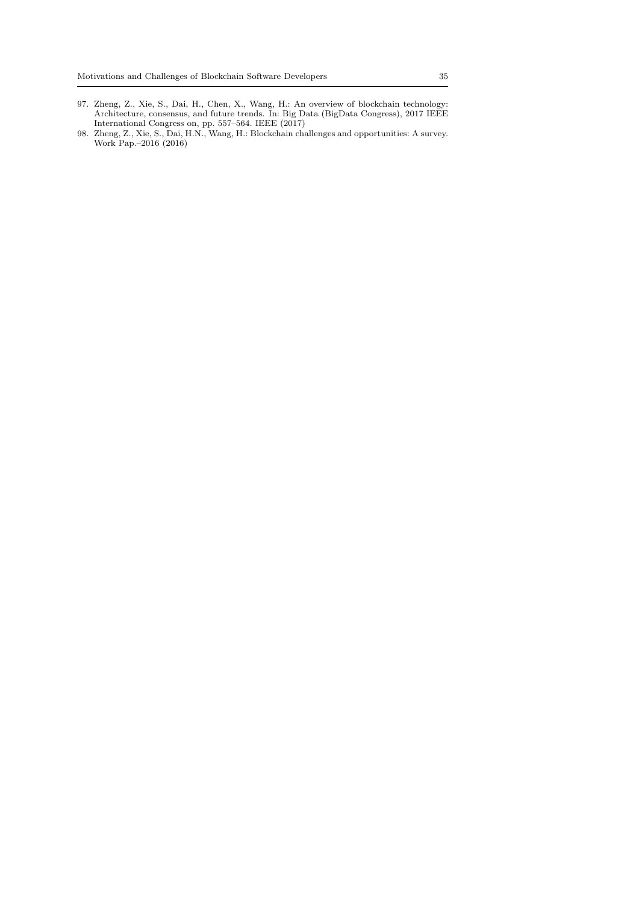- 97. Zheng, Z., Xie, S., Dai, H., Chen, X., Wang, H.: An overview of blockchain technology: Architecture, consensus, and future trends. In: Big Data (BigData Congress), 2017 IEEE International Congress on, pp. 557–564. IEEE (2017)
- <span id="page-34-0"></span>98. Zheng, Z., Xie, S., Dai, H.N., Wang, H.: Blockchain challenges and opportunities: A survey. Work Pap.–2016 (2016)